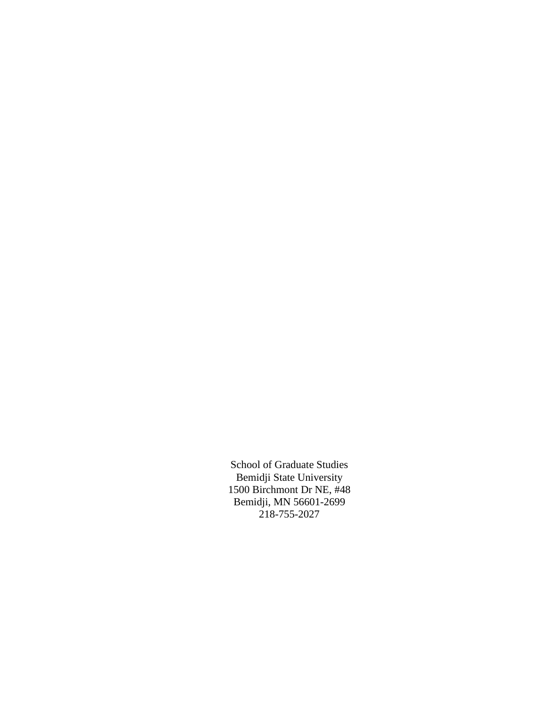School of Graduate Studies Bemidji State University 1500 Birchmont Dr NE, #48 Bemidji, MN 56601-2699 218-755-2027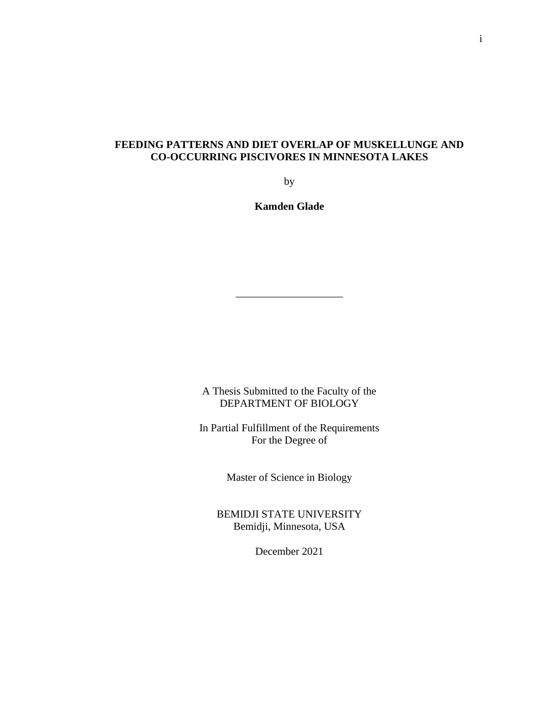## **FEEDING PATTERNS AND DIET OVERLAP OF MUSKELLUNGE AND CO-OCCURRING PISCIVORES IN MINNESOTA LAKES**

by

**Kamden Glade**

\_\_\_\_\_\_\_\_\_\_\_\_\_\_\_\_\_\_\_\_

A Thesis Submitted to the Faculty of the DEPARTMENT OF BIOLOGY

In Partial Fulfillment of the Requirements For the Degree of

Master of Science in Biology

BEMIDJI STATE UNIVERSITY Bemidji, Minnesota, USA

December 2021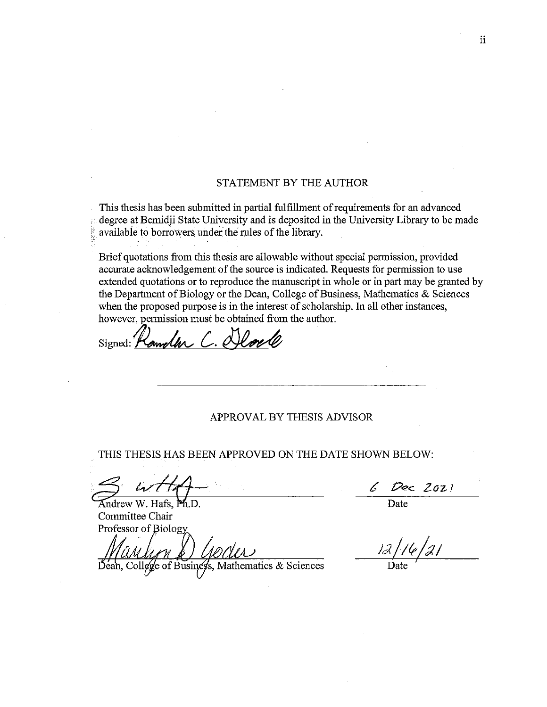## STATEMENT BY THE AUTHOR

This thesis has been submitted in partial fulfillment of requirements for an advanced degree at Bemidji State University and is deposited in the University Library to be made available to borrowers under the rules of the library.

Brief quotations from this thesis are allowable without special permission, provided accurate acknowledgement of the source is indicated. Requests for permission to use extended quotations or to reproduce the manuscript in whole or in part may be granted by the Department of Biology or the Dean, College of Business, Mathematics & Sciences when the proposed purpose is in the interest of scholarship. In all other instances, however, permission must be obtained from the author.

Lamplan C. Delover Signed:  $\prime$ 

## APPROVAL BY THESIS ADVISOR

THIS THESIS HAS BEEN APPROVED ON THE DATE SHOWN BELOW:

Andrew W. Hafs, Ph.D. Committee Chair Professor of Biology

Dean, College of Business, Mathematics & Sciences

Dec 2021 Date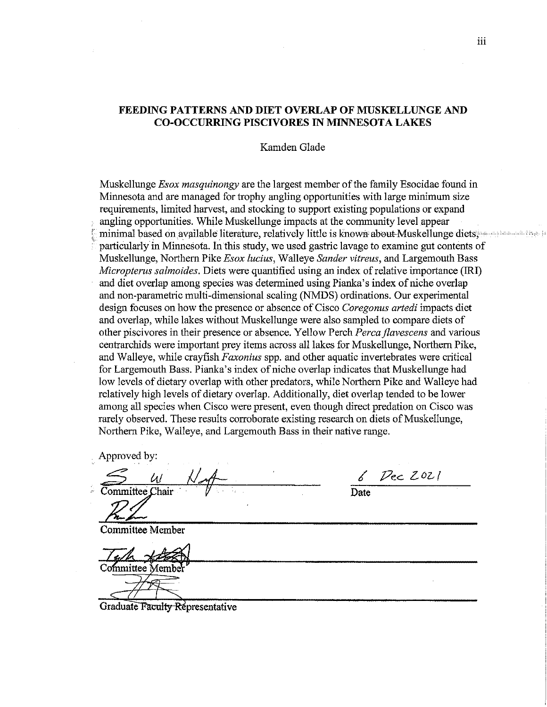## **FEEDING PATTERNS AND DIET OVERLAP OF MUSKELLUNGE AND CO-OCCURRING PISCIVORES IN MINNESOTA LAKES**

## Kamden Glade

Muskellunge *Esox masquinongy* are the largest member of the family Esocidae found in Minnesota and are managed for trophy angling opportunities with large minimum size requirements, limited harvest, and stocking to support existing populations or expand angling opportunities. While Muskellunge impacts at the community level appear minimal based on available literature, relatively little is known about Muskellunge diets. particularly in Minnesota. In this study, we used gastric lavage to examine gut contents of Muskellunge, Northern Pike Esox lucius, Walleye Sander vitreus, and Largemouth Bass *Micropterus salmoides.* Diets were quantified using an index of relative importance (IRI) and diet overlap among species was determined using Pianka's index of niche overlap and non-parametric multi-dimensional scaling (NMDS) ordinations. Our experimental design focuses on how the presence or absence of Cisco Coregonus artedi impacts diet and overlap, while lakes without Muskellunge were also sampled to compare diets of other piscivores in their presence or absence. Yellow Perch Perca flavescens and various centrarchids were important prey items across all lakes for Muskellunge, Northern Pike, and Walleye, while crayfish *Faxonius* spp. and other aquatic invertebrates were critical for Largemouth Bass. Pianka's index of niche overlap indicates that Muskellunge had low levels of dietary overlap with other predators, while Northern Pike and Walleye had relatively high levels of dietary overlap. Additionally, diet overlap tended to be lower among all species when Cisco were present, even though direct predation on Cisco was rarely observed. These results corroborate existing research on diets of Muskellunge, Northern Pike, Walleye, and Largemouth Bass in their native range.

Approved by:

Committee Chair

Committee Member

'ommittee Membr

Dec 2021 Date

Graduate Faculty Representative

iii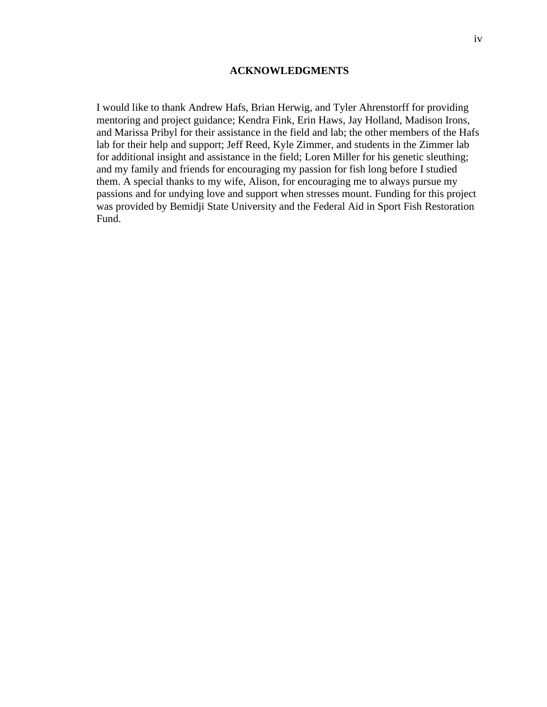## **ACKNOWLEDGMENTS**

I would like to thank Andrew Hafs, Brian Herwig, and Tyler Ahrenstorff for providing mentoring and project guidance; Kendra Fink, Erin Haws, Jay Holland, Madison Irons, and Marissa Pribyl for their assistance in the field and lab; the other members of the Hafs lab for their help and support; Jeff Reed, Kyle Zimmer, and students in the Zimmer lab for additional insight and assistance in the field; Loren Miller for his genetic sleuthing; and my family and friends for encouraging my passion for fish long before I studied them. A special thanks to my wife, Alison, for encouraging me to always pursue my passions and for undying love and support when stresses mount. Funding for this project was provided by Bemidji State University and the Federal Aid in Sport Fish Restoration Fund.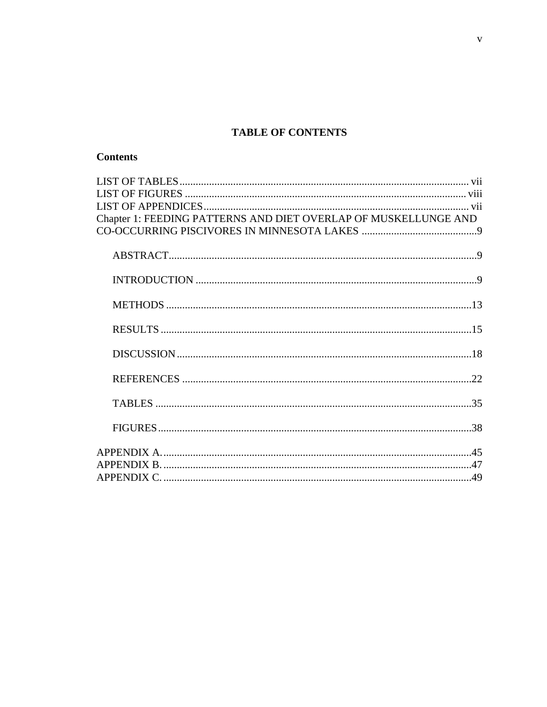# **TABLE OF CONTENTS**

| Chapter 1: FEEDING PATTERNS AND DIET OVERLAP OF MUSKELLUNGE AND |  |
|-----------------------------------------------------------------|--|
|                                                                 |  |
|                                                                 |  |
|                                                                 |  |
|                                                                 |  |
|                                                                 |  |
|                                                                 |  |
|                                                                 |  |
|                                                                 |  |
|                                                                 |  |
|                                                                 |  |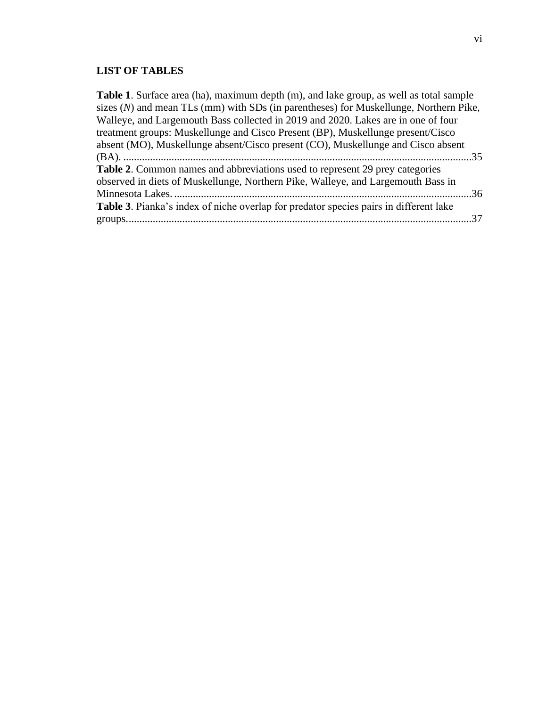# **LIST OF TABLES**

| Table 1. Surface area (ha), maximum depth (m), and lake group, as well as total sample  |
|-----------------------------------------------------------------------------------------|
| sizes $(N)$ and mean TLs (mm) with SDs (in parentheses) for Muskellunge, Northern Pike, |
| Walleye, and Largemouth Bass collected in 2019 and 2020. Lakes are in one of four       |
| treatment groups: Muskellunge and Cisco Present (BP), Muskellunge present/Cisco         |
| absent (MO), Muskellunge absent/Cisco present (CO), Muskellunge and Cisco absent        |
|                                                                                         |
| Table 2. Common names and abbreviations used to represent 29 prey categories            |
| observed in diets of Muskellunge, Northern Pike, Walleye, and Largemouth Bass in        |
|                                                                                         |
| Table 3. Pianka's index of niche overlap for predator species pairs in different lake   |
|                                                                                         |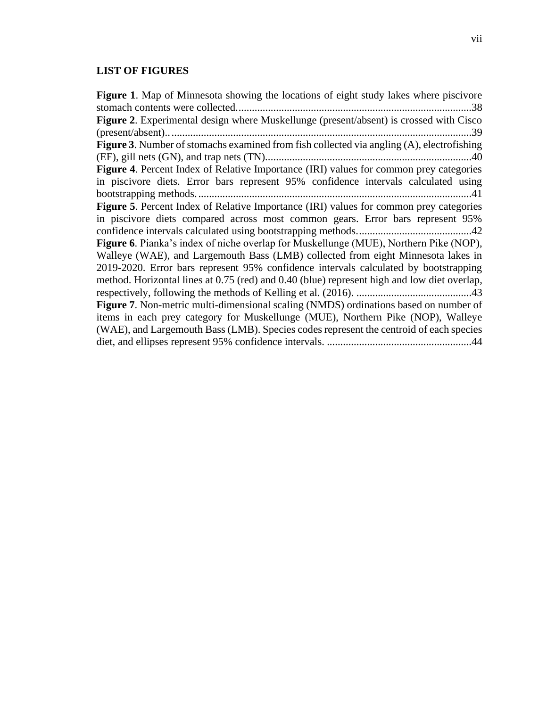## **LIST OF FIGURES**

**Figure 1**. Map of Minnesota showing the locations of eight study lakes where piscivore stomach contents were collected........................................................................................38 **Figure 2**. Experimental design where Muskellunge (present/absent) is crossed with Cisco (present/absent)..................................................................................................................39 **Figure 3**. Number of stomachs examined from fish collected via angling (A), electrofishing (EF), gill nets (GN), and trap nets (TN).............................................................................40 **Figure 4**. Percent Index of Relative Importance (IRI) values for common prey categories in piscivore diets. Error bars represent 95% confidence intervals calculated using bootstrapping methods.......................................................................................................41 **Figure 5**. Percent Index of Relative Importance (IRI) values for common prey categories in piscivore diets compared across most common gears. Error bars represent 95% confidence intervals calculated using bootstrapping methods...........................................42 **Figure 6**. Pianka's index of niche overlap for Muskellunge (MUE), Northern Pike (NOP), Walleye (WAE), and Largemouth Bass (LMB) collected from eight Minnesota lakes in 2019-2020. Error bars represent 95% confidence intervals calculated by bootstrapping method. Horizontal lines at 0.75 (red) and 0.40 (blue) represent high and low diet overlap, respectively, following the methods of Kelling et al. (2016). ...........................................43 **Figure 7**. Non-metric multi-dimensional scaling (NMDS) ordinations based on number of items in each prey category for Muskellunge (MUE), Northern Pike (NOP), Walleye (WAE), and Largemouth Bass (LMB). Species codes represent the centroid of each species diet, and ellipses represent 95% confidence intervals. ......................................................44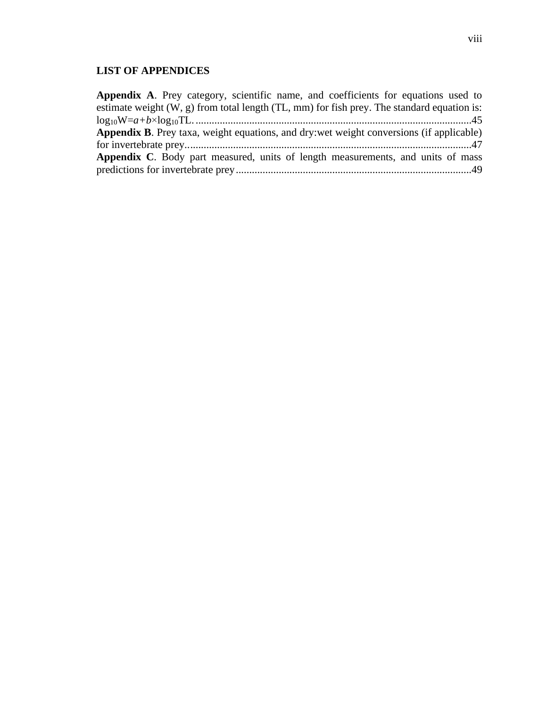# **LIST OF APPENDICES**

| Appendix A. Prey category, scientific name, and coefficients for equations used to             |
|------------------------------------------------------------------------------------------------|
| estimate weight $(W, g)$ from total length $(TL, mm)$ for fish prey. The standard equation is: |
|                                                                                                |
| Appendix B. Prey taxa, weight equations, and dry: wet weight conversions (if applicable)       |
|                                                                                                |
| Appendix C. Body part measured, units of length measurements, and units of mass                |
|                                                                                                |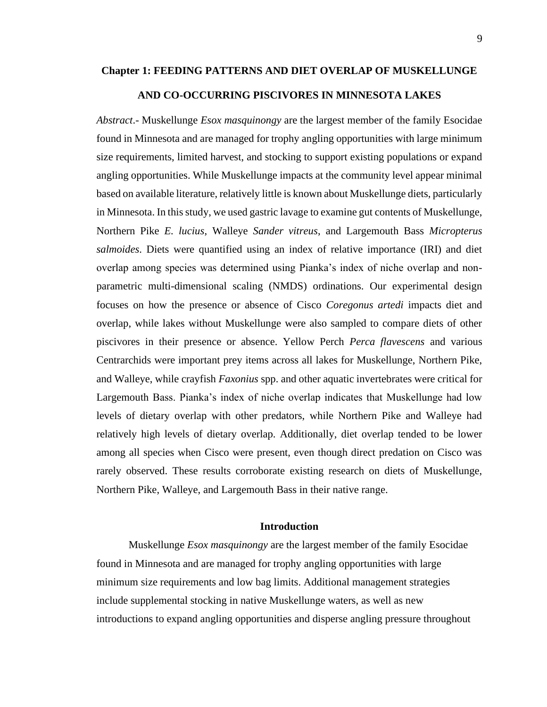### **Chapter 1: FEEDING PATTERNS AND DIET OVERLAP OF MUSKELLUNGE**

### **AND CO-OCCURRING PISCIVORES IN MINNESOTA LAKES**

*Abstract*.- Muskellunge *Esox masquinongy* are the largest member of the family Esocidae found in Minnesota and are managed for trophy angling opportunities with large minimum size requirements, limited harvest, and stocking to support existing populations or expand angling opportunities. While Muskellunge impacts at the community level appear minimal based on available literature, relatively little is known about Muskellunge diets, particularly in Minnesota. In this study, we used gastric lavage to examine gut contents of Muskellunge, Northern Pike *E. lucius*, Walleye *Sander vitreus*, and Largemouth Bass *Micropterus salmoides*. Diets were quantified using an index of relative importance (IRI) and diet overlap among species was determined using Pianka's index of niche overlap and nonparametric multi-dimensional scaling (NMDS) ordinations. Our experimental design focuses on how the presence or absence of Cisco *Coregonus artedi* impacts diet and overlap, while lakes without Muskellunge were also sampled to compare diets of other piscivores in their presence or absence. Yellow Perch *Perca flavescens* and various Centrarchids were important prey items across all lakes for Muskellunge, Northern Pike, and Walleye, while crayfish *Faxonius* spp. and other aquatic invertebrates were critical for Largemouth Bass. Pianka's index of niche overlap indicates that Muskellunge had low levels of dietary overlap with other predators, while Northern Pike and Walleye had relatively high levels of dietary overlap. Additionally, diet overlap tended to be lower among all species when Cisco were present, even though direct predation on Cisco was rarely observed. These results corroborate existing research on diets of Muskellunge, Northern Pike, Walleye, and Largemouth Bass in their native range.

## **Introduction**

Muskellunge *Esox masquinongy* are the largest member of the family Esocidae found in Minnesota and are managed for trophy angling opportunities with large minimum size requirements and low bag limits. Additional management strategies include supplemental stocking in native Muskellunge waters, as well as new introductions to expand angling opportunities and disperse angling pressure throughout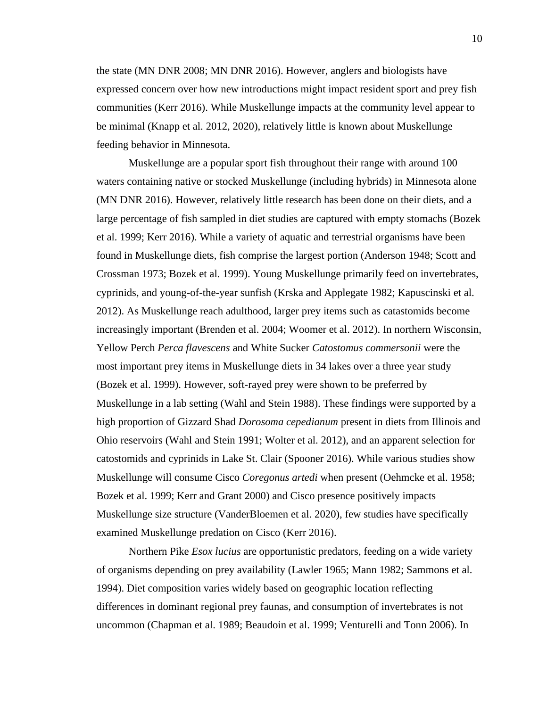the state (MN DNR 2008; MN DNR 2016). However, anglers and biologists have expressed concern over how new introductions might impact resident sport and prey fish communities (Kerr 2016). While Muskellunge impacts at the community level appear to be minimal (Knapp et al. 2012, 2020), relatively little is known about Muskellunge feeding behavior in Minnesota.

Muskellunge are a popular sport fish throughout their range with around 100 waters containing native or stocked Muskellunge (including hybrids) in Minnesota alone (MN DNR 2016). However, relatively little research has been done on their diets, and a large percentage of fish sampled in diet studies are captured with empty stomachs (Bozek et al. 1999; Kerr 2016). While a variety of aquatic and terrestrial organisms have been found in Muskellunge diets, fish comprise the largest portion (Anderson 1948; Scott and Crossman 1973; Bozek et al. 1999). Young Muskellunge primarily feed on invertebrates, cyprinids, and young-of-the-year sunfish (Krska and Applegate 1982; Kapuscinski et al. 2012). As Muskellunge reach adulthood, larger prey items such as catastomids become increasingly important (Brenden et al. 2004; Woomer et al. 2012). In northern Wisconsin, Yellow Perch *Perca flavescens* and White Sucker *Catostomus commersonii* were the most important prey items in Muskellunge diets in 34 lakes over a three year study (Bozek et al. 1999). However, soft-rayed prey were shown to be preferred by Muskellunge in a lab setting (Wahl and Stein 1988). These findings were supported by a high proportion of Gizzard Shad *Dorosoma cepedianum* present in diets from Illinois and Ohio reservoirs (Wahl and Stein 1991; Wolter et al. 2012), and an apparent selection for catostomids and cyprinids in Lake St. Clair (Spooner 2016). While various studies show Muskellunge will consume Cisco *Coregonus artedi* when present (Oehmcke et al. 1958; Bozek et al. 1999; Kerr and Grant 2000) and Cisco presence positively impacts Muskellunge size structure (VanderBloemen et al. 2020), few studies have specifically examined Muskellunge predation on Cisco (Kerr 2016).

Northern Pike *Esox lucius* are opportunistic predators, feeding on a wide variety of organisms depending on prey availability (Lawler 1965; Mann 1982; Sammons et al. 1994). Diet composition varies widely based on geographic location reflecting differences in dominant regional prey faunas, and consumption of invertebrates is not uncommon (Chapman et al. 1989; Beaudoin et al. 1999; Venturelli and Tonn 2006). In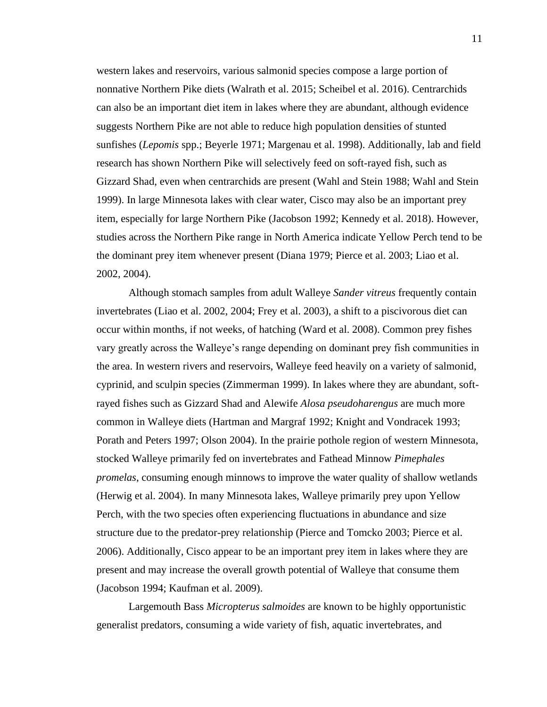western lakes and reservoirs, various salmonid species compose a large portion of nonnative Northern Pike diets (Walrath et al. 2015; Scheibel et al. 2016). Centrarchids can also be an important diet item in lakes where they are abundant, although evidence suggests Northern Pike are not able to reduce high population densities of stunted sunfishes (*Lepomis* spp.; Beyerle 1971; Margenau et al. 1998). Additionally, lab and field research has shown Northern Pike will selectively feed on soft-rayed fish, such as Gizzard Shad, even when centrarchids are present (Wahl and Stein 1988; Wahl and Stein 1999). In large Minnesota lakes with clear water, Cisco may also be an important prey item, especially for large Northern Pike (Jacobson 1992; Kennedy et al. 2018). However, studies across the Northern Pike range in North America indicate Yellow Perch tend to be the dominant prey item whenever present (Diana 1979; Pierce et al. 2003; Liao et al. 2002, 2004).

Although stomach samples from adult Walleye *Sander vitreus* frequently contain invertebrates (Liao et al. 2002, 2004; Frey et al. 2003), a shift to a piscivorous diet can occur within months, if not weeks, of hatching (Ward et al. 2008). Common prey fishes vary greatly across the Walleye's range depending on dominant prey fish communities in the area. In western rivers and reservoirs, Walleye feed heavily on a variety of salmonid, cyprinid, and sculpin species (Zimmerman 1999). In lakes where they are abundant, softrayed fishes such as Gizzard Shad and Alewife *Alosa pseudoharengus* are much more common in Walleye diets (Hartman and Margraf 1992; Knight and Vondracek 1993; Porath and Peters 1997; Olson 2004). In the prairie pothole region of western Minnesota, stocked Walleye primarily fed on invertebrates and Fathead Minnow *Pimephales promelas*, consuming enough minnows to improve the water quality of shallow wetlands (Herwig et al. 2004). In many Minnesota lakes, Walleye primarily prey upon Yellow Perch, with the two species often experiencing fluctuations in abundance and size structure due to the predator-prey relationship (Pierce and Tomcko 2003; Pierce et al. 2006). Additionally, Cisco appear to be an important prey item in lakes where they are present and may increase the overall growth potential of Walleye that consume them (Jacobson 1994; Kaufman et al. 2009).

Largemouth Bass *Micropterus salmoides* are known to be highly opportunistic generalist predators, consuming a wide variety of fish, aquatic invertebrates, and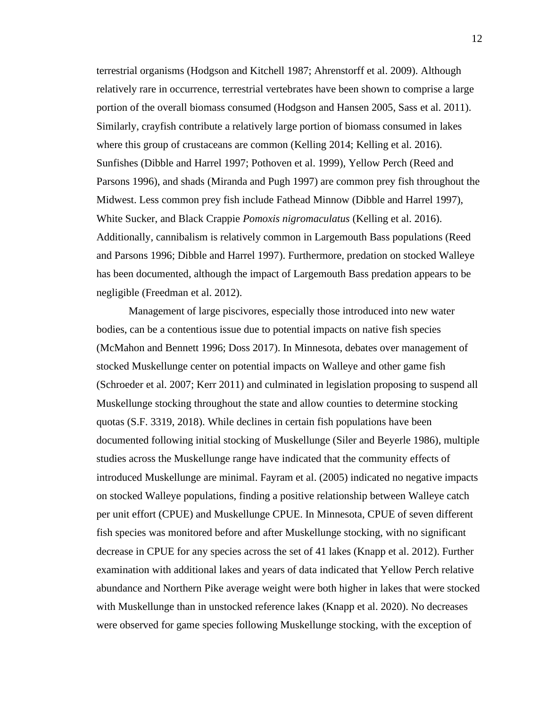terrestrial organisms (Hodgson and Kitchell 1987; Ahrenstorff et al. 2009). Although relatively rare in occurrence, terrestrial vertebrates have been shown to comprise a large portion of the overall biomass consumed (Hodgson and Hansen 2005, Sass et al. 2011). Similarly, crayfish contribute a relatively large portion of biomass consumed in lakes where this group of crustaceans are common (Kelling 2014; Kelling et al. 2016). Sunfishes (Dibble and Harrel 1997; Pothoven et al. 1999), Yellow Perch (Reed and Parsons 1996), and shads (Miranda and Pugh 1997) are common prey fish throughout the Midwest. Less common prey fish include Fathead Minnow (Dibble and Harrel 1997), White Sucker, and Black Crappie *Pomoxis nigromaculatus* (Kelling et al. 2016). Additionally, cannibalism is relatively common in Largemouth Bass populations (Reed and Parsons 1996; Dibble and Harrel 1997). Furthermore, predation on stocked Walleye has been documented, although the impact of Largemouth Bass predation appears to be negligible (Freedman et al. 2012).

Management of large piscivores, especially those introduced into new water bodies, can be a contentious issue due to potential impacts on native fish species (McMahon and Bennett 1996; Doss 2017). In Minnesota, debates over management of stocked Muskellunge center on potential impacts on Walleye and other game fish (Schroeder et al. 2007; Kerr 2011) and culminated in legislation proposing to suspend all Muskellunge stocking throughout the state and allow counties to determine stocking quotas (S.F. 3319, 2018). While declines in certain fish populations have been documented following initial stocking of Muskellunge (Siler and Beyerle 1986), multiple studies across the Muskellunge range have indicated that the community effects of introduced Muskellunge are minimal. Fayram et al. (2005) indicated no negative impacts on stocked Walleye populations, finding a positive relationship between Walleye catch per unit effort (CPUE) and Muskellunge CPUE. In Minnesota, CPUE of seven different fish species was monitored before and after Muskellunge stocking, with no significant decrease in CPUE for any species across the set of 41 lakes (Knapp et al. 2012). Further examination with additional lakes and years of data indicated that Yellow Perch relative abundance and Northern Pike average weight were both higher in lakes that were stocked with Muskellunge than in unstocked reference lakes (Knapp et al. 2020). No decreases were observed for game species following Muskellunge stocking, with the exception of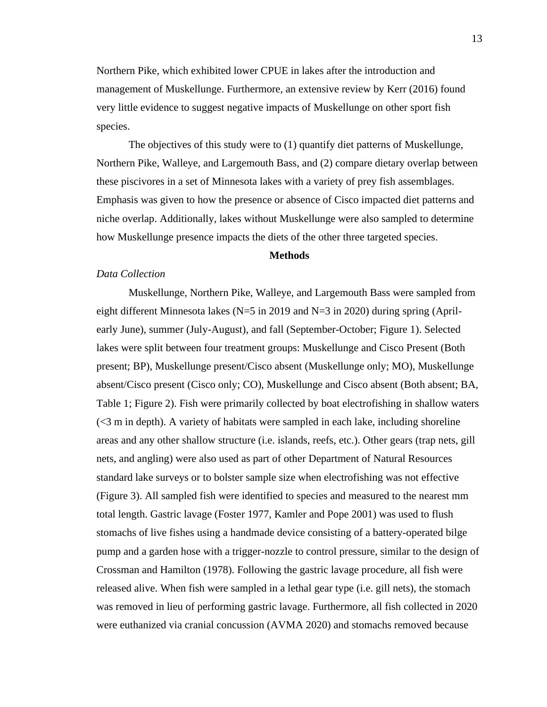Northern Pike, which exhibited lower CPUE in lakes after the introduction and management of Muskellunge. Furthermore, an extensive review by Kerr (2016) found very little evidence to suggest negative impacts of Muskellunge on other sport fish species.

The objectives of this study were to (1) quantify diet patterns of Muskellunge, Northern Pike, Walleye, and Largemouth Bass, and (2) compare dietary overlap between these piscivores in a set of Minnesota lakes with a variety of prey fish assemblages. Emphasis was given to how the presence or absence of Cisco impacted diet patterns and niche overlap. Additionally, lakes without Muskellunge were also sampled to determine how Muskellunge presence impacts the diets of the other three targeted species.

#### **Methods**

## *Data Collection*

Muskellunge, Northern Pike, Walleye, and Largemouth Bass were sampled from eight different Minnesota lakes (N=5 in 2019 and N=3 in 2020) during spring (Aprilearly June), summer (July-August), and fall (September-October; Figure 1). Selected lakes were split between four treatment groups: Muskellunge and Cisco Present (Both present; BP), Muskellunge present/Cisco absent (Muskellunge only; MO), Muskellunge absent/Cisco present (Cisco only; CO), Muskellunge and Cisco absent (Both absent; BA, Table 1; Figure 2). Fish were primarily collected by boat electrofishing in shallow waters (<3 m in depth). A variety of habitats were sampled in each lake, including shoreline areas and any other shallow structure (i.e. islands, reefs, etc.). Other gears (trap nets, gill nets, and angling) were also used as part of other Department of Natural Resources standard lake surveys or to bolster sample size when electrofishing was not effective (Figure 3). All sampled fish were identified to species and measured to the nearest mm total length. Gastric lavage (Foster 1977, Kamler and Pope 2001) was used to flush stomachs of live fishes using a handmade device consisting of a battery-operated bilge pump and a garden hose with a trigger-nozzle to control pressure, similar to the design of Crossman and Hamilton (1978). Following the gastric lavage procedure, all fish were released alive. When fish were sampled in a lethal gear type (i.e. gill nets), the stomach was removed in lieu of performing gastric lavage. Furthermore, all fish collected in 2020 were euthanized via cranial concussion (AVMA 2020) and stomachs removed because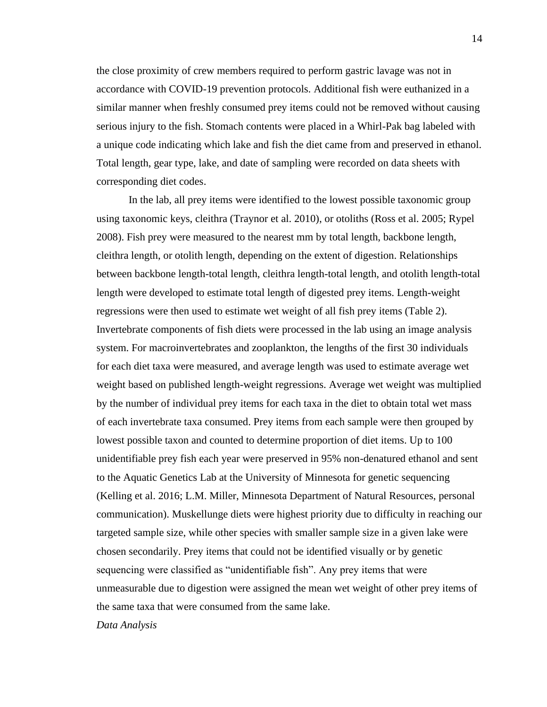the close proximity of crew members required to perform gastric lavage was not in accordance with COVID-19 prevention protocols. Additional fish were euthanized in a similar manner when freshly consumed prey items could not be removed without causing serious injury to the fish. Stomach contents were placed in a Whirl-Pak bag labeled with a unique code indicating which lake and fish the diet came from and preserved in ethanol. Total length, gear type, lake, and date of sampling were recorded on data sheets with corresponding diet codes.

In the lab, all prey items were identified to the lowest possible taxonomic group using taxonomic keys, cleithra (Traynor et al. 2010), or otoliths (Ross et al. 2005; Rypel 2008). Fish prey were measured to the nearest mm by total length, backbone length, cleithra length, or otolith length, depending on the extent of digestion. Relationships between backbone length-total length, cleithra length-total length, and otolith length-total length were developed to estimate total length of digested prey items. Length-weight regressions were then used to estimate wet weight of all fish prey items (Table 2). Invertebrate components of fish diets were processed in the lab using an image analysis system. For macroinvertebrates and zooplankton, the lengths of the first 30 individuals for each diet taxa were measured, and average length was used to estimate average wet weight based on published length-weight regressions. Average wet weight was multiplied by the number of individual prey items for each taxa in the diet to obtain total wet mass of each invertebrate taxa consumed. Prey items from each sample were then grouped by lowest possible taxon and counted to determine proportion of diet items. Up to 100 unidentifiable prey fish each year were preserved in 95% non-denatured ethanol and sent to the Aquatic Genetics Lab at the University of Minnesota for genetic sequencing (Kelling et al. 2016; L.M. Miller, Minnesota Department of Natural Resources, personal communication). Muskellunge diets were highest priority due to difficulty in reaching our targeted sample size, while other species with smaller sample size in a given lake were chosen secondarily. Prey items that could not be identified visually or by genetic sequencing were classified as "unidentifiable fish". Any prey items that were unmeasurable due to digestion were assigned the mean wet weight of other prey items of the same taxa that were consumed from the same lake.

*Data Analysis*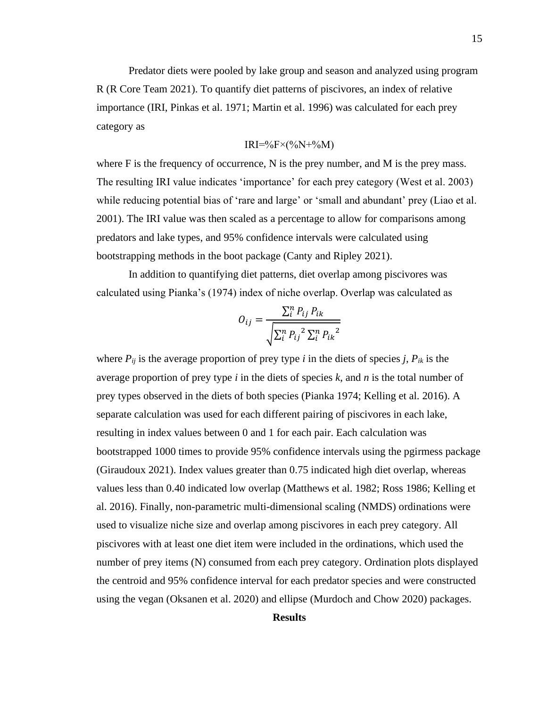Predator diets were pooled by lake group and season and analyzed using program R (R Core Team 2021). To quantify diet patterns of piscivores, an index of relative importance (IRI, Pinkas et al. 1971; Martin et al. 1996) was calculated for each prey category as

$$
IRI=\%F\times(\%N+\%M)
$$

where F is the frequency of occurrence, N is the prey number, and M is the prey mass. The resulting IRI value indicates 'importance' for each prey category (West et al. 2003) while reducing potential bias of 'rare and large' or 'small and abundant' prey (Liao et al. 2001). The IRI value was then scaled as a percentage to allow for comparisons among predators and lake types, and 95% confidence intervals were calculated using bootstrapping methods in the boot package (Canty and Ripley 2021).

In addition to quantifying diet patterns, diet overlap among piscivores was calculated using Pianka's (1974) index of niche overlap. Overlap was calculated as

$$
O_{ij} = \frac{\sum_{i}^{n} P_{ij} P_{ik}}{\sqrt{\sum_{i}^{n} P_{ij}^{2} \sum_{i}^{n} P_{ik}^{2}}}
$$

where  $P_{ij}$  is the average proportion of prey type *i* in the diets of species *j*,  $P_{ik}$  is the average proportion of prey type *i* in the diets of species *k*, and *n* is the total number of prey types observed in the diets of both species (Pianka 1974; Kelling et al. 2016). A separate calculation was used for each different pairing of piscivores in each lake, resulting in index values between 0 and 1 for each pair. Each calculation was bootstrapped 1000 times to provide 95% confidence intervals using the pgirmess package (Giraudoux 2021). Index values greater than 0.75 indicated high diet overlap, whereas values less than 0.40 indicated low overlap (Matthews et al. 1982; Ross 1986; Kelling et al. 2016). Finally, non-parametric multi-dimensional scaling (NMDS) ordinations were used to visualize niche size and overlap among piscivores in each prey category. All piscivores with at least one diet item were included in the ordinations, which used the number of prey items (N) consumed from each prey category. Ordination plots displayed the centroid and 95% confidence interval for each predator species and were constructed using the vegan (Oksanen et al. 2020) and ellipse (Murdoch and Chow 2020) packages.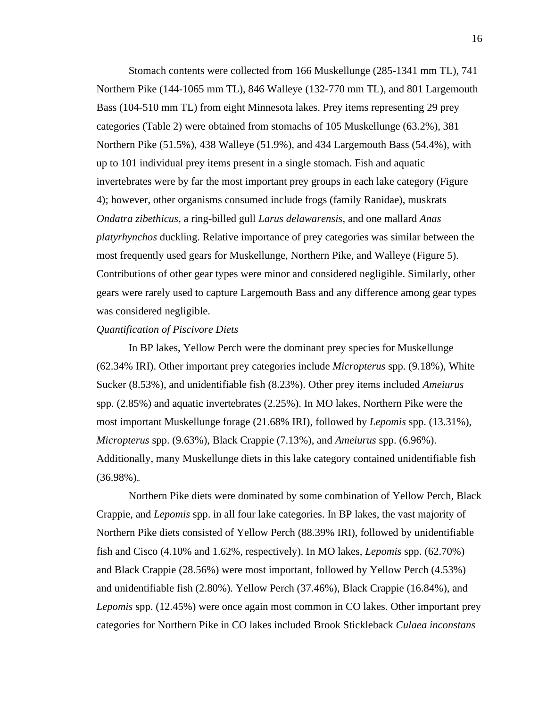Stomach contents were collected from 166 Muskellunge (285-1341 mm TL), 741 Northern Pike (144-1065 mm TL), 846 Walleye (132-770 mm TL), and 801 Largemouth Bass (104-510 mm TL) from eight Minnesota lakes. Prey items representing 29 prey categories (Table 2) were obtained from stomachs of 105 Muskellunge (63.2%), 381 Northern Pike (51.5%), 438 Walleye (51.9%), and 434 Largemouth Bass (54.4%), with up to 101 individual prey items present in a single stomach. Fish and aquatic invertebrates were by far the most important prey groups in each lake category (Figure 4); however, other organisms consumed include frogs (family Ranidae), muskrats *Ondatra zibethicus*, a ring-billed gull *Larus delawarensis*, and one mallard *Anas platyrhynchos* duckling. Relative importance of prey categories was similar between the most frequently used gears for Muskellunge, Northern Pike, and Walleye (Figure 5). Contributions of other gear types were minor and considered negligible. Similarly, other gears were rarely used to capture Largemouth Bass and any difference among gear types was considered negligible.

### *Quantification of Piscivore Diets*

In BP lakes, Yellow Perch were the dominant prey species for Muskellunge (62.34% IRI). Other important prey categories include *Micropterus* spp. (9.18%), White Sucker (8.53%), and unidentifiable fish (8.23%). Other prey items included *Ameiurus* spp. (2.85%) and aquatic invertebrates (2.25%). In MO lakes, Northern Pike were the most important Muskellunge forage (21.68% IRI), followed by *Lepomis* spp. (13.31%), *Micropterus* spp. (9.63%), Black Crappie (7.13%), and *Ameiurus* spp. (6.96%). Additionally, many Muskellunge diets in this lake category contained unidentifiable fish  $(36.98\%)$ .

Northern Pike diets were dominated by some combination of Yellow Perch, Black Crappie, and *Lepomis* spp. in all four lake categories. In BP lakes, the vast majority of Northern Pike diets consisted of Yellow Perch (88.39% IRI), followed by unidentifiable fish and Cisco (4.10% and 1.62%, respectively). In MO lakes, *Lepomis* spp. (62.70%) and Black Crappie (28.56%) were most important, followed by Yellow Perch (4.53%) and unidentifiable fish (2.80%). Yellow Perch (37.46%), Black Crappie (16.84%), and *Lepomis* spp. (12.45%) were once again most common in CO lakes. Other important prey categories for Northern Pike in CO lakes included Brook Stickleback *Culaea inconstans*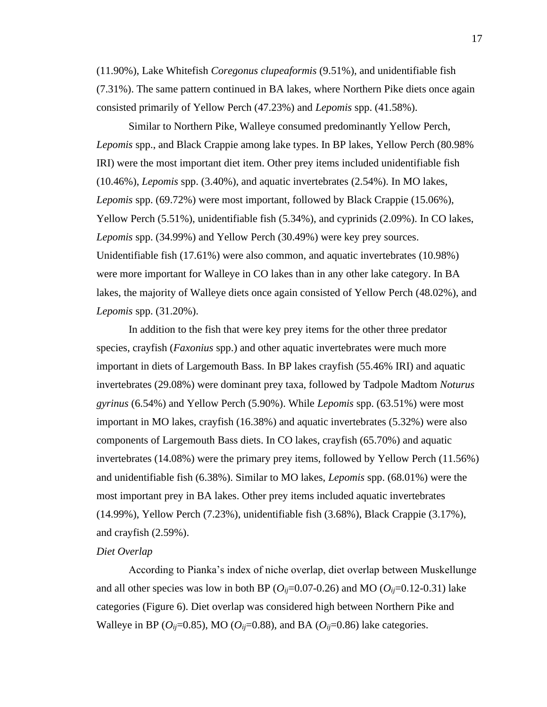(11.90%), Lake Whitefish *Coregonus clupeaformis* (9.51%), and unidentifiable fish (7.31%). The same pattern continued in BA lakes, where Northern Pike diets once again consisted primarily of Yellow Perch (47.23%) and *Lepomis* spp. (41.58%).

Similar to Northern Pike, Walleye consumed predominantly Yellow Perch, *Lepomis* spp., and Black Crappie among lake types. In BP lakes, Yellow Perch (80.98% IRI) were the most important diet item. Other prey items included unidentifiable fish (10.46%), *Lepomis* spp. (3.40%), and aquatic invertebrates (2.54%). In MO lakes, *Lepomis* spp. (69.72%) were most important, followed by Black Crappie (15.06%), Yellow Perch (5.51%), unidentifiable fish (5.34%), and cyprinids (2.09%). In CO lakes, *Lepomis* spp. (34.99%) and Yellow Perch (30.49%) were key prey sources. Unidentifiable fish (17.61%) were also common, and aquatic invertebrates (10.98%) were more important for Walleye in CO lakes than in any other lake category. In BA lakes, the majority of Walleye diets once again consisted of Yellow Perch (48.02%), and *Lepomis* spp. (31.20%).

In addition to the fish that were key prey items for the other three predator species, crayfish (*Faxonius* spp.) and other aquatic invertebrates were much more important in diets of Largemouth Bass. In BP lakes crayfish (55.46% IRI) and aquatic invertebrates (29.08%) were dominant prey taxa, followed by Tadpole Madtom *Noturus gyrinus* (6.54%) and Yellow Perch (5.90%). While *Lepomis* spp. (63.51%) were most important in MO lakes, crayfish (16.38%) and aquatic invertebrates (5.32%) were also components of Largemouth Bass diets. In CO lakes, crayfish (65.70%) and aquatic invertebrates (14.08%) were the primary prey items, followed by Yellow Perch (11.56%) and unidentifiable fish (6.38%). Similar to MO lakes, *Lepomis* spp. (68.01%) were the most important prey in BA lakes. Other prey items included aquatic invertebrates (14.99%), Yellow Perch (7.23%), unidentifiable fish (3.68%), Black Crappie (3.17%), and crayfish (2.59%).

## *Diet Overlap*

According to Pianka's index of niche overlap, diet overlap between Muskellunge and all other species was low in both BP ( $O_{ij}=0.07-0.26$ ) and MO ( $O_{ij}=0.12-0.31$ ) lake categories (Figure 6). Diet overlap was considered high between Northern Pike and Walleye in BP ( $O_{ij}$ =0.85), MO ( $O_{ij}$ =0.88), and BA ( $O_{ij}$ =0.86) lake categories.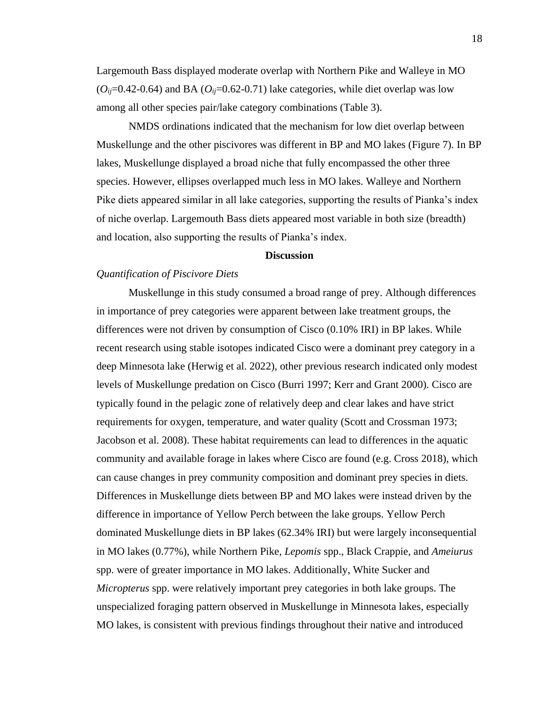Largemouth Bass displayed moderate overlap with Northern Pike and Walleye in MO  $(O_{ij}=0.42-0.64)$  and BA  $(O_{ij}=0.62-0.71)$  lake categories, while diet overlap was low among all other species pair/lake category combinations (Table 3).

NMDS ordinations indicated that the mechanism for low diet overlap between Muskellunge and the other piscivores was different in BP and MO lakes (Figure 7). In BP lakes, Muskellunge displayed a broad niche that fully encompassed the other three species. However, ellipses overlapped much less in MO lakes. Walleye and Northern Pike diets appeared similar in all lake categories, supporting the results of Pianka's index of niche overlap. Largemouth Bass diets appeared most variable in both size (breadth) and location, also supporting the results of Pianka's index.

## **Discussion**

#### *Quantification of Piscivore Diets*

Muskellunge in this study consumed a broad range of prey. Although differences in importance of prey categories were apparent between lake treatment groups, the differences were not driven by consumption of Cisco (0.10% IRI) in BP lakes. While recent research using stable isotopes indicated Cisco were a dominant prey category in a deep Minnesota lake (Herwig et al. 2022), other previous research indicated only modest levels of Muskellunge predation on Cisco (Burri 1997; Kerr and Grant 2000). Cisco are typically found in the pelagic zone of relatively deep and clear lakes and have strict requirements for oxygen, temperature, and water quality (Scott and Crossman 1973; Jacobson et al. 2008). These habitat requirements can lead to differences in the aquatic community and available forage in lakes where Cisco are found (e.g. Cross 2018), which can cause changes in prey community composition and dominant prey species in diets. Differences in Muskellunge diets between BP and MO lakes were instead driven by the difference in importance of Yellow Perch between the lake groups. Yellow Perch dominated Muskellunge diets in BP lakes (62.34% IRI) but were largely inconsequential in MO lakes (0.77%), while Northern Pike, *Lepomis* spp., Black Crappie, and *Ameiurus* spp. were of greater importance in MO lakes. Additionally, White Sucker and *Micropterus* spp. were relatively important prey categories in both lake groups. The unspecialized foraging pattern observed in Muskellunge in Minnesota lakes, especially MO lakes, is consistent with previous findings throughout their native and introduced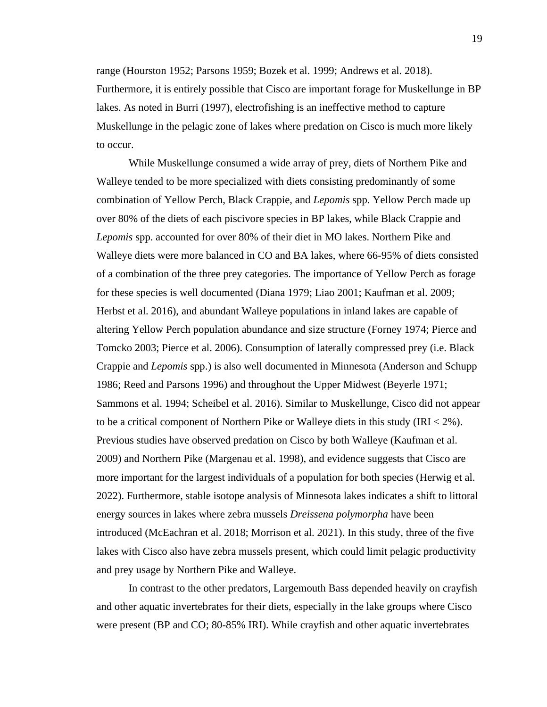range (Hourston 1952; Parsons 1959; Bozek et al. 1999; Andrews et al. 2018). Furthermore, it is entirely possible that Cisco are important forage for Muskellunge in BP lakes. As noted in Burri (1997), electrofishing is an ineffective method to capture Muskellunge in the pelagic zone of lakes where predation on Cisco is much more likely to occur.

While Muskellunge consumed a wide array of prey, diets of Northern Pike and Walleye tended to be more specialized with diets consisting predominantly of some combination of Yellow Perch, Black Crappie, and *Lepomis* spp. Yellow Perch made up over 80% of the diets of each piscivore species in BP lakes, while Black Crappie and *Lepomis* spp. accounted for over 80% of their diet in MO lakes. Northern Pike and Walleye diets were more balanced in CO and BA lakes, where 66-95% of diets consisted of a combination of the three prey categories. The importance of Yellow Perch as forage for these species is well documented (Diana 1979; Liao 2001; Kaufman et al. 2009; Herbst et al. 2016), and abundant Walleye populations in inland lakes are capable of altering Yellow Perch population abundance and size structure (Forney 1974; Pierce and Tomcko 2003; Pierce et al. 2006). Consumption of laterally compressed prey (i.e. Black Crappie and *Lepomis* spp.) is also well documented in Minnesota (Anderson and Schupp 1986; Reed and Parsons 1996) and throughout the Upper Midwest (Beyerle 1971; Sammons et al. 1994; Scheibel et al. 2016). Similar to Muskellunge, Cisco did not appear to be a critical component of Northern Pike or Walleye diets in this study (IRI < 2%). Previous studies have observed predation on Cisco by both Walleye (Kaufman et al. 2009) and Northern Pike (Margenau et al. 1998), and evidence suggests that Cisco are more important for the largest individuals of a population for both species (Herwig et al. 2022). Furthermore, stable isotope analysis of Minnesota lakes indicates a shift to littoral energy sources in lakes where zebra mussels *Dreissena polymorpha* have been introduced (McEachran et al. 2018; Morrison et al. 2021). In this study, three of the five lakes with Cisco also have zebra mussels present, which could limit pelagic productivity and prey usage by Northern Pike and Walleye.

In contrast to the other predators, Largemouth Bass depended heavily on crayfish and other aquatic invertebrates for their diets, especially in the lake groups where Cisco were present (BP and CO; 80-85% IRI). While crayfish and other aquatic invertebrates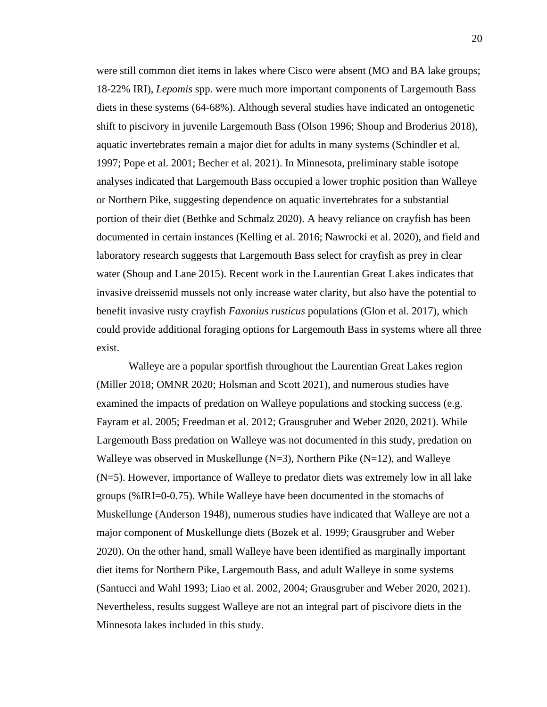were still common diet items in lakes where Cisco were absent (MO and BA lake groups; 18-22% IRI), *Lepomis* spp. were much more important components of Largemouth Bass diets in these systems (64-68%). Although several studies have indicated an ontogenetic shift to piscivory in juvenile Largemouth Bass (Olson 1996; Shoup and Broderius 2018), aquatic invertebrates remain a major diet for adults in many systems (Schindler et al. 1997; Pope et al. 2001; Becher et al. 2021). In Minnesota, preliminary stable isotope analyses indicated that Largemouth Bass occupied a lower trophic position than Walleye or Northern Pike, suggesting dependence on aquatic invertebrates for a substantial portion of their diet (Bethke and Schmalz 2020). A heavy reliance on crayfish has been documented in certain instances (Kelling et al. 2016; Nawrocki et al. 2020), and field and laboratory research suggests that Largemouth Bass select for crayfish as prey in clear water (Shoup and Lane 2015). Recent work in the Laurentian Great Lakes indicates that invasive dreissenid mussels not only increase water clarity, but also have the potential to benefit invasive rusty crayfish *Faxonius rusticus* populations (Glon et al. 2017), which could provide additional foraging options for Largemouth Bass in systems where all three exist.

Walleye are a popular sportfish throughout the Laurentian Great Lakes region (Miller 2018; OMNR 2020; Holsman and Scott 2021), and numerous studies have examined the impacts of predation on Walleye populations and stocking success (e.g. Fayram et al. 2005; Freedman et al. 2012; Grausgruber and Weber 2020, 2021). While Largemouth Bass predation on Walleye was not documented in this study, predation on Walleye was observed in Muskellunge  $(N=3)$ , Northern Pike  $(N=12)$ , and Walleye (N=5). However, importance of Walleye to predator diets was extremely low in all lake groups (%IRI=0-0.75). While Walleye have been documented in the stomachs of Muskellunge (Anderson 1948), numerous studies have indicated that Walleye are not a major component of Muskellunge diets (Bozek et al. 1999; Grausgruber and Weber 2020). On the other hand, small Walleye have been identified as marginally important diet items for Northern Pike, Largemouth Bass, and adult Walleye in some systems (Santucci and Wahl 1993; Liao et al. 2002, 2004; Grausgruber and Weber 2020, 2021). Nevertheless, results suggest Walleye are not an integral part of piscivore diets in the Minnesota lakes included in this study.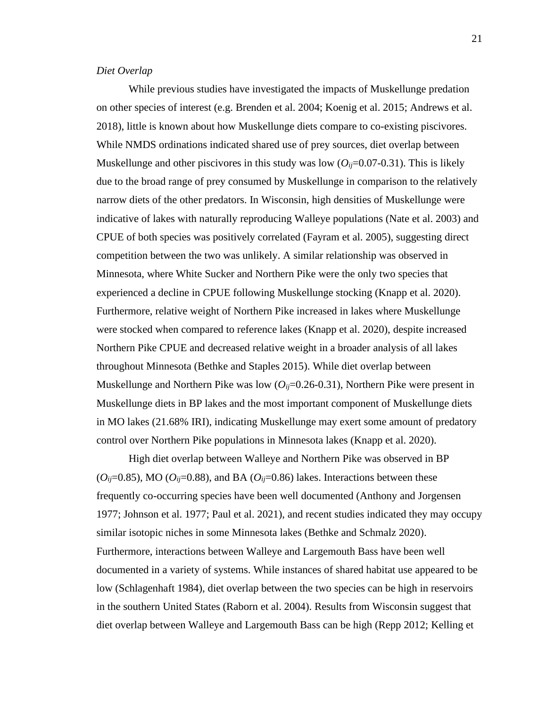#### *Diet Overlap*

While previous studies have investigated the impacts of Muskellunge predation on other species of interest (e.g. Brenden et al. 2004; Koenig et al. 2015; Andrews et al. 2018), little is known about how Muskellunge diets compare to co-existing piscivores. While NMDS ordinations indicated shared use of prey sources, diet overlap between Muskellunge and other piscivores in this study was low  $(O_{ij}=0.07-0.31)$ . This is likely due to the broad range of prey consumed by Muskellunge in comparison to the relatively narrow diets of the other predators. In Wisconsin, high densities of Muskellunge were indicative of lakes with naturally reproducing Walleye populations (Nate et al. 2003) and CPUE of both species was positively correlated (Fayram et al. 2005), suggesting direct competition between the two was unlikely. A similar relationship was observed in Minnesota, where White Sucker and Northern Pike were the only two species that experienced a decline in CPUE following Muskellunge stocking (Knapp et al. 2020). Furthermore, relative weight of Northern Pike increased in lakes where Muskellunge were stocked when compared to reference lakes (Knapp et al. 2020), despite increased Northern Pike CPUE and decreased relative weight in a broader analysis of all lakes throughout Minnesota (Bethke and Staples 2015). While diet overlap between Muskellunge and Northern Pike was low  $(O_{ij}=0.26-0.31)$ , Northern Pike were present in Muskellunge diets in BP lakes and the most important component of Muskellunge diets in MO lakes (21.68% IRI), indicating Muskellunge may exert some amount of predatory control over Northern Pike populations in Minnesota lakes (Knapp et al. 2020).

High diet overlap between Walleye and Northern Pike was observed in BP  $(O_{ij}=0.85)$ , MO  $(O_{ij}=0.88)$ , and BA  $(O_{ij}=0.86)$  lakes. Interactions between these frequently co-occurring species have been well documented (Anthony and Jorgensen 1977; Johnson et al. 1977; Paul et al. 2021), and recent studies indicated they may occupy similar isotopic niches in some Minnesota lakes (Bethke and Schmalz 2020). Furthermore, interactions between Walleye and Largemouth Bass have been well documented in a variety of systems. While instances of shared habitat use appeared to be low (Schlagenhaft 1984), diet overlap between the two species can be high in reservoirs in the southern United States (Raborn et al. 2004). Results from Wisconsin suggest that diet overlap between Walleye and Largemouth Bass can be high (Repp 2012; Kelling et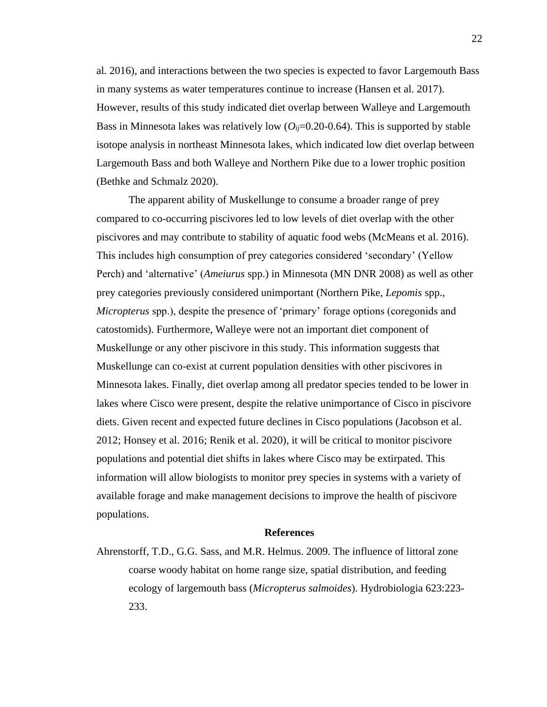al. 2016), and interactions between the two species is expected to favor Largemouth Bass in many systems as water temperatures continue to increase (Hansen et al. 2017). However, results of this study indicated diet overlap between Walleye and Largemouth Bass in Minnesota lakes was relatively low  $(O_{ij}=0.20-0.64)$ . This is supported by stable isotope analysis in northeast Minnesota lakes, which indicated low diet overlap between Largemouth Bass and both Walleye and Northern Pike due to a lower trophic position (Bethke and Schmalz 2020).

The apparent ability of Muskellunge to consume a broader range of prey compared to co-occurring piscivores led to low levels of diet overlap with the other piscivores and may contribute to stability of aquatic food webs (McMeans et al. 2016). This includes high consumption of prey categories considered 'secondary' (Yellow Perch) and 'alternative' (*Ameiurus* spp.) in Minnesota (MN DNR 2008) as well as other prey categories previously considered unimportant (Northern Pike, *Lepomis* spp., *Micropterus* spp.), despite the presence of 'primary' forage options (coregonids and catostomids). Furthermore, Walleye were not an important diet component of Muskellunge or any other piscivore in this study. This information suggests that Muskellunge can co-exist at current population densities with other piscivores in Minnesota lakes. Finally, diet overlap among all predator species tended to be lower in lakes where Cisco were present, despite the relative unimportance of Cisco in piscivore diets. Given recent and expected future declines in Cisco populations (Jacobson et al. 2012; Honsey et al. 2016; Renik et al. 2020), it will be critical to monitor piscivore populations and potential diet shifts in lakes where Cisco may be extirpated. This information will allow biologists to monitor prey species in systems with a variety of available forage and make management decisions to improve the health of piscivore populations.

#### **References**

Ahrenstorff, T.D., G.G. Sass, and M.R. Helmus. 2009. The influence of littoral zone coarse woody habitat on home range size, spatial distribution, and feeding ecology of largemouth bass (*Micropterus salmoides*). Hydrobiologia 623:223- 233.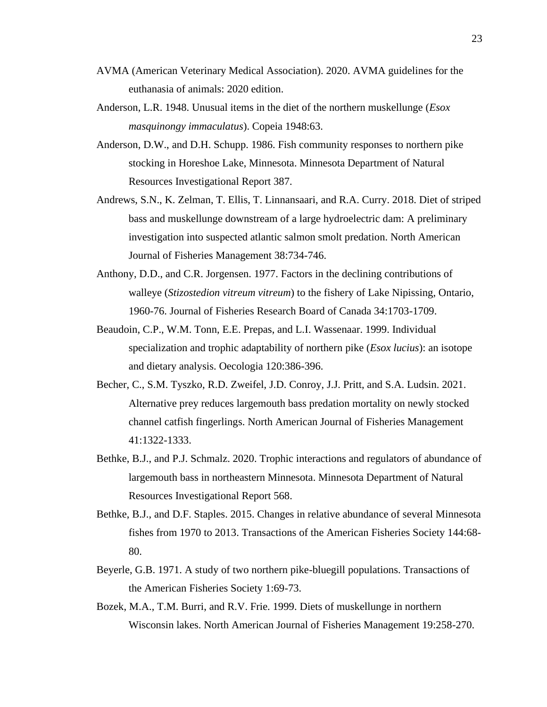- AVMA (American Veterinary Medical Association). 2020. AVMA guidelines for the euthanasia of animals: 2020 edition.
- Anderson, L.R. 1948. Unusual items in the diet of the northern muskellunge (*Esox masquinongy immaculatus*). Copeia 1948:63.
- Anderson, D.W., and D.H. Schupp. 1986. Fish community responses to northern pike stocking in Horeshoe Lake, Minnesota. Minnesota Department of Natural Resources Investigational Report 387.
- Andrews, S.N., K. Zelman, T. Ellis, T. Linnansaari, and R.A. Curry. 2018. Diet of striped bass and muskellunge downstream of a large hydroelectric dam: A preliminary investigation into suspected atlantic salmon smolt predation. North American Journal of Fisheries Management 38:734-746.
- Anthony, D.D., and C.R. Jorgensen. 1977. Factors in the declining contributions of walleye (*Stizostedion vitreum vitreum*) to the fishery of Lake Nipissing, Ontario, 1960-76. Journal of Fisheries Research Board of Canada 34:1703-1709.
- Beaudoin, C.P., W.M. Tonn, E.E. Prepas, and L.I. Wassenaar. 1999. Individual specialization and trophic adaptability of northern pike (*Esox lucius*): an isotope and dietary analysis. Oecologia 120:386-396.
- Becher, C., S.M. Tyszko, R.D. Zweifel, J.D. Conroy, J.J. Pritt, and S.A. Ludsin. 2021. Alternative prey reduces largemouth bass predation mortality on newly stocked channel catfish fingerlings. North American Journal of Fisheries Management 41:1322-1333.
- Bethke, B.J., and P.J. Schmalz. 2020. Trophic interactions and regulators of abundance of largemouth bass in northeastern Minnesota. Minnesota Department of Natural Resources Investigational Report 568.
- Bethke, B.J., and D.F. Staples. 2015. Changes in relative abundance of several Minnesota fishes from 1970 to 2013. Transactions of the American Fisheries Society 144:68- 80.
- Beyerle, G.B. 1971. A study of two northern pike-bluegill populations. Transactions of the American Fisheries Society 1:69-73.
- Bozek, M.A., T.M. Burri, and R.V. Frie. 1999. Diets of muskellunge in northern Wisconsin lakes. North American Journal of Fisheries Management 19:258-270.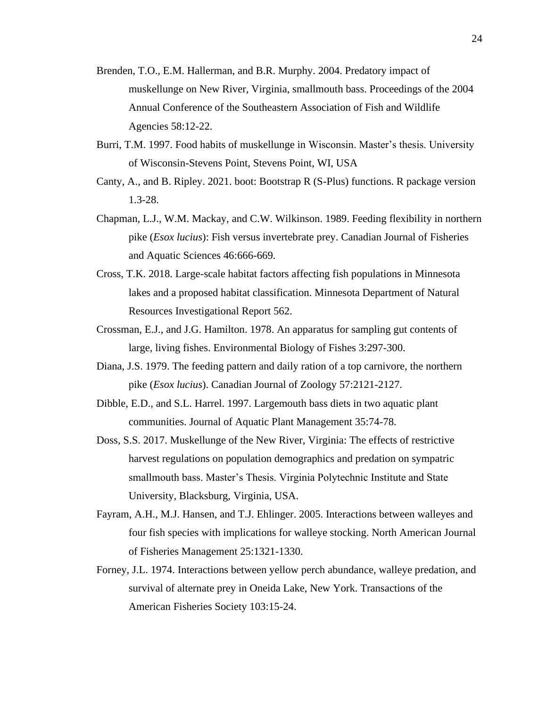- Brenden, T.O., E.M. Hallerman, and B.R. Murphy. 2004. Predatory impact of muskellunge on New River, Virginia, smallmouth bass. Proceedings of the 2004 Annual Conference of the Southeastern Association of Fish and Wildlife Agencies 58:12-22.
- Burri, T.M. 1997. Food habits of muskellunge in Wisconsin. Master's thesis. University of Wisconsin-Stevens Point, Stevens Point, WI, USA
- Canty, A., and B. Ripley. 2021. boot: Bootstrap R (S-Plus) functions. R package version 1.3-28.
- Chapman, L.J., W.M. Mackay, and C.W. Wilkinson. 1989. Feeding flexibility in northern pike (*Esox lucius*): Fish versus invertebrate prey. Canadian Journal of Fisheries and Aquatic Sciences 46:666-669.
- Cross, T.K. 2018. Large-scale habitat factors affecting fish populations in Minnesota lakes and a proposed habitat classification. Minnesota Department of Natural Resources Investigational Report 562.
- Crossman, E.J., and J.G. Hamilton. 1978. An apparatus for sampling gut contents of large, living fishes. Environmental Biology of Fishes 3:297-300.
- Diana, J.S. 1979. The feeding pattern and daily ration of a top carnivore, the northern pike (*Esox lucius*). Canadian Journal of Zoology 57:2121-2127.
- Dibble, E.D., and S.L. Harrel. 1997. Largemouth bass diets in two aquatic plant communities. Journal of Aquatic Plant Management 35:74-78.
- Doss, S.S. 2017. Muskellunge of the New River, Virginia: The effects of restrictive harvest regulations on population demographics and predation on sympatric smallmouth bass. Master's Thesis. Virginia Polytechnic Institute and State University, Blacksburg, Virginia, USA.
- Fayram, A.H., M.J. Hansen, and T.J. Ehlinger. 2005. Interactions between walleyes and four fish species with implications for walleye stocking. North American Journal of Fisheries Management 25:1321-1330.
- Forney, J.L. 1974. Interactions between yellow perch abundance, walleye predation, and survival of alternate prey in Oneida Lake, New York. Transactions of the American Fisheries Society 103:15-24.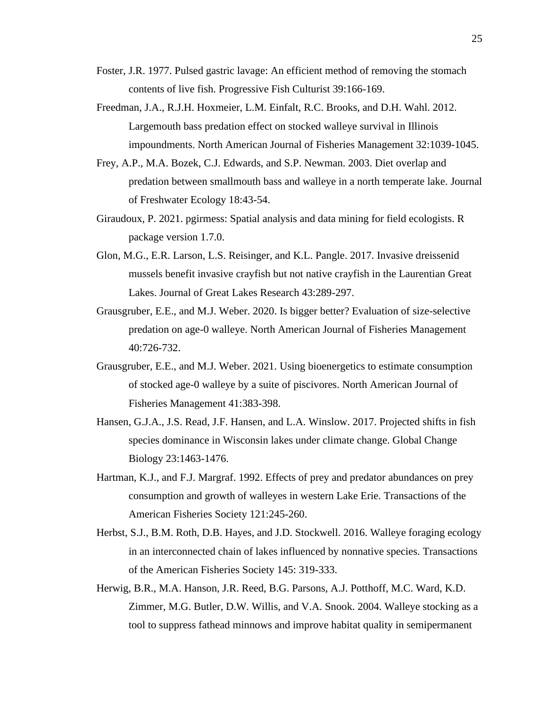- Foster, J.R. 1977. Pulsed gastric lavage: An efficient method of removing the stomach contents of live fish. Progressive Fish Culturist 39:166-169.
- Freedman, J.A., R.J.H. Hoxmeier, L.M. Einfalt, R.C. Brooks, and D.H. Wahl. 2012. Largemouth bass predation effect on stocked walleye survival in Illinois impoundments. North American Journal of Fisheries Management 32:1039-1045.
- Frey, A.P., M.A. Bozek, C.J. Edwards, and S.P. Newman. 2003. Diet overlap and predation between smallmouth bass and walleye in a north temperate lake. Journal of Freshwater Ecology 18:43-54.
- Giraudoux, P. 2021. pgirmess: Spatial analysis and data mining for field ecologists. R package version 1.7.0.
- Glon, M.G., E.R. Larson, L.S. Reisinger, and K.L. Pangle. 2017. Invasive dreissenid mussels benefit invasive crayfish but not native crayfish in the Laurentian Great Lakes. Journal of Great Lakes Research 43:289-297.
- Grausgruber, E.E., and M.J. Weber. 2020. Is bigger better? Evaluation of size-selective predation on age-0 walleye. North American Journal of Fisheries Management 40:726-732.
- Grausgruber, E.E., and M.J. Weber. 2021. Using bioenergetics to estimate consumption of stocked age-0 walleye by a suite of piscivores. North American Journal of Fisheries Management 41:383-398.
- Hansen, G.J.A., J.S. Read, J.F. Hansen, and L.A. Winslow. 2017. Projected shifts in fish species dominance in Wisconsin lakes under climate change. Global Change Biology 23:1463-1476.
- Hartman, K.J., and F.J. Margraf. 1992. Effects of prey and predator abundances on prey consumption and growth of walleyes in western Lake Erie. Transactions of the American Fisheries Society 121:245-260.
- Herbst, S.J., B.M. Roth, D.B. Hayes, and J.D. Stockwell. 2016. Walleye foraging ecology in an interconnected chain of lakes influenced by nonnative species. Transactions of the American Fisheries Society 145: 319-333.
- Herwig, B.R., M.A. Hanson, J.R. Reed, B.G. Parsons, A.J. Potthoff, M.C. Ward, K.D. Zimmer, M.G. Butler, D.W. Willis, and V.A. Snook. 2004. Walleye stocking as a tool to suppress fathead minnows and improve habitat quality in semipermanent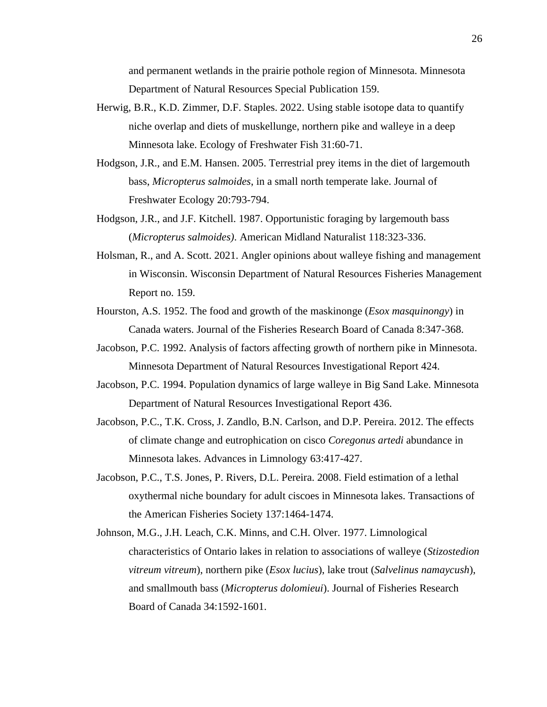and permanent wetlands in the prairie pothole region of Minnesota. Minnesota Department of Natural Resources Special Publication 159.

- Herwig, B.R., K.D. Zimmer, D.F. Staples. 2022. Using stable isotope data to quantify niche overlap and diets of muskellunge, northern pike and walleye in a deep Minnesota lake. Ecology of Freshwater Fish 31:60-71.
- Hodgson, J.R., and E.M. Hansen. 2005. Terrestrial prey items in the diet of largemouth bass, *Micropterus salmoides*, in a small north temperate lake. Journal of Freshwater Ecology 20:793-794.
- Hodgson, J.R., and J.F. Kitchell. 1987. Opportunistic foraging by largemouth bass (*Micropterus salmoides)*. American Midland Naturalist 118:323-336.
- Holsman, R., and A. Scott. 2021. Angler opinions about walleye fishing and management in Wisconsin. Wisconsin Department of Natural Resources Fisheries Management Report no. 159.
- Hourston, A.S. 1952. The food and growth of the maskinonge (*Esox masquinongy*) in Canada waters. Journal of the Fisheries Research Board of Canada 8:347-368.
- Jacobson, P.C. 1992. Analysis of factors affecting growth of northern pike in Minnesota. Minnesota Department of Natural Resources Investigational Report 424.
- Jacobson, P.C. 1994. Population dynamics of large walleye in Big Sand Lake. Minnesota Department of Natural Resources Investigational Report 436.
- Jacobson, P.C., T.K. Cross, J. Zandlo, B.N. Carlson, and D.P. Pereira. 2012. The effects of climate change and eutrophication on cisco *Coregonus artedi* abundance in Minnesota lakes. Advances in Limnology 63:417-427.
- Jacobson, P.C., T.S. Jones, P. Rivers, D.L. Pereira. 2008. Field estimation of a lethal oxythermal niche boundary for adult ciscoes in Minnesota lakes. Transactions of the American Fisheries Society 137:1464-1474.
- Johnson, M.G., J.H. Leach, C.K. Minns, and C.H. Olver. 1977. Limnological characteristics of Ontario lakes in relation to associations of walleye (*Stizostedion vitreum vitreum*), northern pike (*Esox lucius*), lake trout (*Salvelinus namaycush*), and smallmouth bass (*Micropterus dolomieui*). Journal of Fisheries Research Board of Canada 34:1592-1601.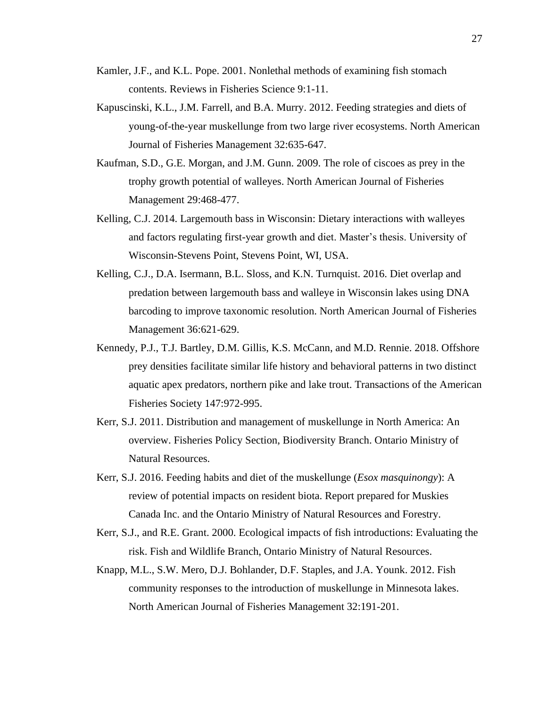- Kamler, J.F., and K.L. Pope. 2001. Nonlethal methods of examining fish stomach contents. Reviews in Fisheries Science 9:1-11.
- Kapuscinski, K.L., J.M. Farrell, and B.A. Murry. 2012. Feeding strategies and diets of young-of-the-year muskellunge from two large river ecosystems. North American Journal of Fisheries Management 32:635-647.
- Kaufman, S.D., G.E. Morgan, and J.M. Gunn. 2009. The role of ciscoes as prey in the trophy growth potential of walleyes. North American Journal of Fisheries Management 29:468-477.
- Kelling, C.J. 2014. Largemouth bass in Wisconsin: Dietary interactions with walleyes and factors regulating first-year growth and diet. Master's thesis. University of Wisconsin-Stevens Point, Stevens Point, WI, USA.
- Kelling, C.J., D.A. Isermann, B.L. Sloss, and K.N. Turnquist. 2016. Diet overlap and predation between largemouth bass and walleye in Wisconsin lakes using DNA barcoding to improve taxonomic resolution. North American Journal of Fisheries Management 36:621-629.
- Kennedy, P.J., T.J. Bartley, D.M. Gillis, K.S. McCann, and M.D. Rennie. 2018. Offshore prey densities facilitate similar life history and behavioral patterns in two distinct aquatic apex predators, northern pike and lake trout. Transactions of the American Fisheries Society 147:972-995.
- Kerr, S.J. 2011. Distribution and management of muskellunge in North America: An overview. Fisheries Policy Section, Biodiversity Branch. Ontario Ministry of Natural Resources.
- Kerr, S.J. 2016. Feeding habits and diet of the muskellunge (*Esox masquinongy*): A review of potential impacts on resident biota. Report prepared for Muskies Canada Inc. and the Ontario Ministry of Natural Resources and Forestry.
- Kerr, S.J., and R.E. Grant. 2000. Ecological impacts of fish introductions: Evaluating the risk. Fish and Wildlife Branch, Ontario Ministry of Natural Resources.
- Knapp, M.L., S.W. Mero, D.J. Bohlander, D.F. Staples, and J.A. Younk. 2012. Fish community responses to the introduction of muskellunge in Minnesota lakes. North American Journal of Fisheries Management 32:191-201.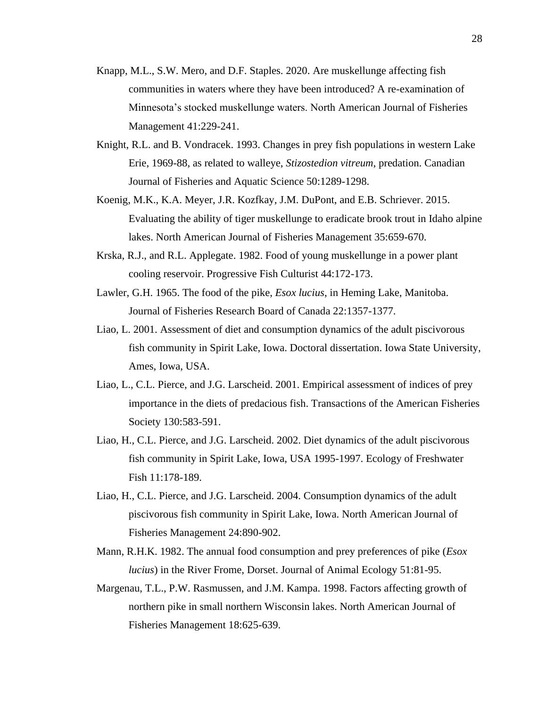- Knapp, M.L., S.W. Mero, and D.F. Staples. 2020. Are muskellunge affecting fish communities in waters where they have been introduced? A re-examination of Minnesota's stocked muskellunge waters. North American Journal of Fisheries Management 41:229-241.
- Knight, R.L. and B. Vondracek. 1993. Changes in prey fish populations in western Lake Erie, 1969-88, as related to walleye, *Stizostedion vitreum*, predation. Canadian Journal of Fisheries and Aquatic Science 50:1289-1298.
- Koenig, M.K., K.A. Meyer, J.R. Kozfkay, J.M. DuPont, and E.B. Schriever. 2015. Evaluating the ability of tiger muskellunge to eradicate brook trout in Idaho alpine lakes. North American Journal of Fisheries Management 35:659-670.
- Krska, R.J., and R.L. Applegate. 1982. Food of young muskellunge in a power plant cooling reservoir. Progressive Fish Culturist 44:172-173.
- Lawler, G.H. 1965. The food of the pike, *Esox lucius*, in Heming Lake, Manitoba. Journal of Fisheries Research Board of Canada 22:1357-1377.
- Liao, L. 2001. Assessment of diet and consumption dynamics of the adult piscivorous fish community in Spirit Lake, Iowa. Doctoral dissertation. Iowa State University, Ames, Iowa, USA.
- Liao, L., C.L. Pierce, and J.G. Larscheid. 2001. Empirical assessment of indices of prey importance in the diets of predacious fish. Transactions of the American Fisheries Society 130:583-591.
- Liao, H., C.L. Pierce, and J.G. Larscheid. 2002. Diet dynamics of the adult piscivorous fish community in Spirit Lake, Iowa, USA 1995-1997. Ecology of Freshwater Fish 11:178-189.
- Liao, H., C.L. Pierce, and J.G. Larscheid. 2004. Consumption dynamics of the adult piscivorous fish community in Spirit Lake, Iowa. North American Journal of Fisheries Management 24:890-902.
- Mann, R.H.K. 1982. The annual food consumption and prey preferences of pike (*Esox lucius*) in the River Frome, Dorset. Journal of Animal Ecology 51:81-95.
- Margenau, T.L., P.W. Rasmussen, and J.M. Kampa. 1998. Factors affecting growth of northern pike in small northern Wisconsin lakes. North American Journal of Fisheries Management 18:625-639.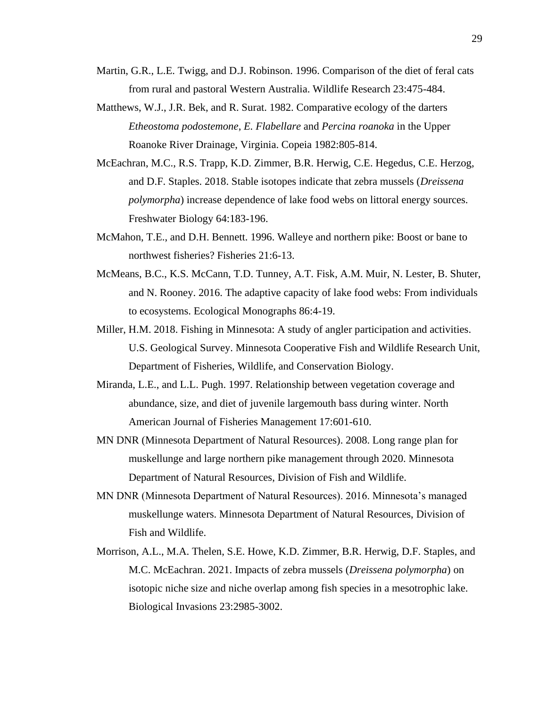- Martin, G.R., L.E. Twigg, and D.J. Robinson. 1996. Comparison of the diet of feral cats from rural and pastoral Western Australia. Wildlife Research 23:475-484.
- Matthews, W.J., J.R. Bek, and R. Surat. 1982. Comparative ecology of the darters *Etheostoma podostemone*, *E. Flabellare* and *Percina roanoka* in the Upper Roanoke River Drainage, Virginia. Copeia 1982:805-814.
- McEachran, M.C., R.S. Trapp, K.D. Zimmer, B.R. Herwig, C.E. Hegedus, C.E. Herzog, and D.F. Staples. 2018. Stable isotopes indicate that zebra mussels (*Dreissena polymorpha*) increase dependence of lake food webs on littoral energy sources. Freshwater Biology 64:183-196.
- McMahon, T.E., and D.H. Bennett. 1996. Walleye and northern pike: Boost or bane to northwest fisheries? Fisheries 21:6-13.
- McMeans, B.C., K.S. McCann, T.D. Tunney, A.T. Fisk, A.M. Muir, N. Lester, B. Shuter, and N. Rooney. 2016. The adaptive capacity of lake food webs: From individuals to ecosystems. Ecological Monographs 86:4-19.
- Miller, H.M. 2018. Fishing in Minnesota: A study of angler participation and activities. U.S. Geological Survey. Minnesota Cooperative Fish and Wildlife Research Unit, Department of Fisheries, Wildlife, and Conservation Biology.
- Miranda, L.E., and L.L. Pugh. 1997. Relationship between vegetation coverage and abundance, size, and diet of juvenile largemouth bass during winter. North American Journal of Fisheries Management 17:601-610.
- MN DNR (Minnesota Department of Natural Resources). 2008. Long range plan for muskellunge and large northern pike management through 2020. Minnesota Department of Natural Resources, Division of Fish and Wildlife.
- MN DNR (Minnesota Department of Natural Resources). 2016. Minnesota's managed muskellunge waters. Minnesota Department of Natural Resources, Division of Fish and Wildlife.
- Morrison, A.L., M.A. Thelen, S.E. Howe, K.D. Zimmer, B.R. Herwig, D.F. Staples, and M.C. McEachran. 2021. Impacts of zebra mussels (*Dreissena polymorpha*) on isotopic niche size and niche overlap among fish species in a mesotrophic lake. Biological Invasions 23:2985-3002.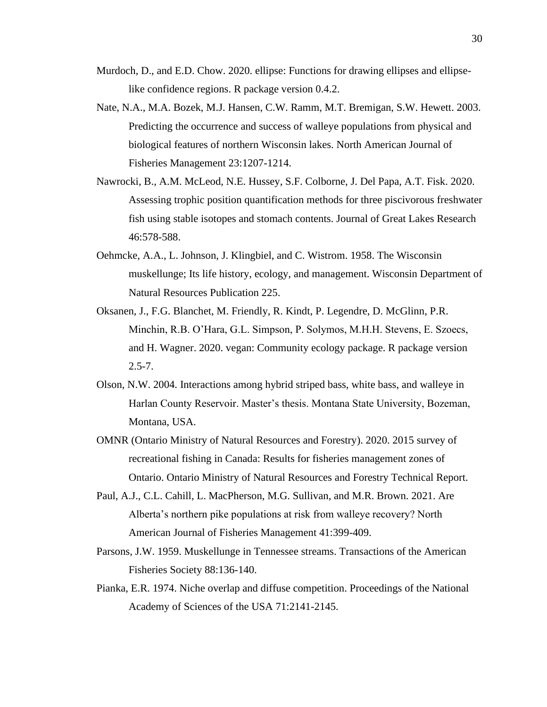- Murdoch, D., and E.D. Chow. 2020. ellipse: Functions for drawing ellipses and ellipselike confidence regions. R package version 0.4.2.
- Nate, N.A., M.A. Bozek, M.J. Hansen, C.W. Ramm, M.T. Bremigan, S.W. Hewett. 2003. Predicting the occurrence and success of walleye populations from physical and biological features of northern Wisconsin lakes. North American Journal of Fisheries Management 23:1207-1214.
- Nawrocki, B., A.M. McLeod, N.E. Hussey, S.F. Colborne, J. Del Papa, A.T. Fisk. 2020. Assessing trophic position quantification methods for three piscivorous freshwater fish using stable isotopes and stomach contents. Journal of Great Lakes Research 46:578-588.
- Oehmcke, A.A., L. Johnson, J. Klingbiel, and C. Wistrom. 1958. The Wisconsin muskellunge; Its life history, ecology, and management. Wisconsin Department of Natural Resources Publication 225.
- Oksanen, J., F.G. Blanchet, M. Friendly, R. Kindt, P. Legendre, D. McGlinn, P.R. Minchin, R.B. O'Hara, G.L. Simpson, P. Solymos, M.H.H. Stevens, E. Szoecs, and H. Wagner. 2020. vegan: Community ecology package. R package version  $2.5 - 7.$
- Olson, N.W. 2004. Interactions among hybrid striped bass, white bass, and walleye in Harlan County Reservoir. Master's thesis. Montana State University, Bozeman, Montana, USA.
- OMNR (Ontario Ministry of Natural Resources and Forestry). 2020. 2015 survey of recreational fishing in Canada: Results for fisheries management zones of Ontario. Ontario Ministry of Natural Resources and Forestry Technical Report.
- Paul, A.J., C.L. Cahill, L. MacPherson, M.G. Sullivan, and M.R. Brown. 2021. Are Alberta's northern pike populations at risk from walleye recovery? North American Journal of Fisheries Management 41:399-409.
- Parsons, J.W. 1959. Muskellunge in Tennessee streams. Transactions of the American Fisheries Society 88:136-140.
- Pianka, E.R. 1974. Niche overlap and diffuse competition. Proceedings of the National Academy of Sciences of the USA 71:2141-2145.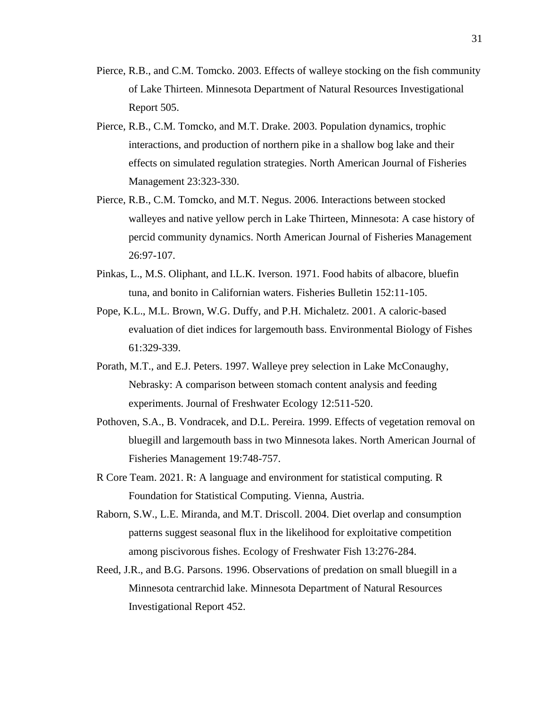- Pierce, R.B., and C.M. Tomcko. 2003. Effects of walleye stocking on the fish community of Lake Thirteen. Minnesota Department of Natural Resources Investigational Report 505.
- Pierce, R.B., C.M. Tomcko, and M.T. Drake. 2003. Population dynamics, trophic interactions, and production of northern pike in a shallow bog lake and their effects on simulated regulation strategies. North American Journal of Fisheries Management 23:323-330.
- Pierce, R.B., C.M. Tomcko, and M.T. Negus. 2006. Interactions between stocked walleyes and native yellow perch in Lake Thirteen, Minnesota: A case history of percid community dynamics. North American Journal of Fisheries Management 26:97-107.
- Pinkas, L., M.S. Oliphant, and I.L.K. Iverson. 1971. Food habits of albacore, bluefin tuna, and bonito in Californian waters. Fisheries Bulletin 152:11-105.
- Pope, K.L., M.L. Brown, W.G. Duffy, and P.H. Michaletz. 2001. A caloric-based evaluation of diet indices for largemouth bass. Environmental Biology of Fishes 61:329-339.
- Porath, M.T., and E.J. Peters. 1997. Walleye prey selection in Lake McConaughy, Nebrasky: A comparison between stomach content analysis and feeding experiments. Journal of Freshwater Ecology 12:511-520.
- Pothoven, S.A., B. Vondracek, and D.L. Pereira. 1999. Effects of vegetation removal on bluegill and largemouth bass in two Minnesota lakes. North American Journal of Fisheries Management 19:748-757.
- R Core Team. 2021. R: A language and environment for statistical computing. R Foundation for Statistical Computing. Vienna, Austria.
- Raborn, S.W., L.E. Miranda, and M.T. Driscoll. 2004. Diet overlap and consumption patterns suggest seasonal flux in the likelihood for exploitative competition among piscivorous fishes. Ecology of Freshwater Fish 13:276-284.
- Reed, J.R., and B.G. Parsons. 1996. Observations of predation on small bluegill in a Minnesota centrarchid lake. Minnesota Department of Natural Resources Investigational Report 452.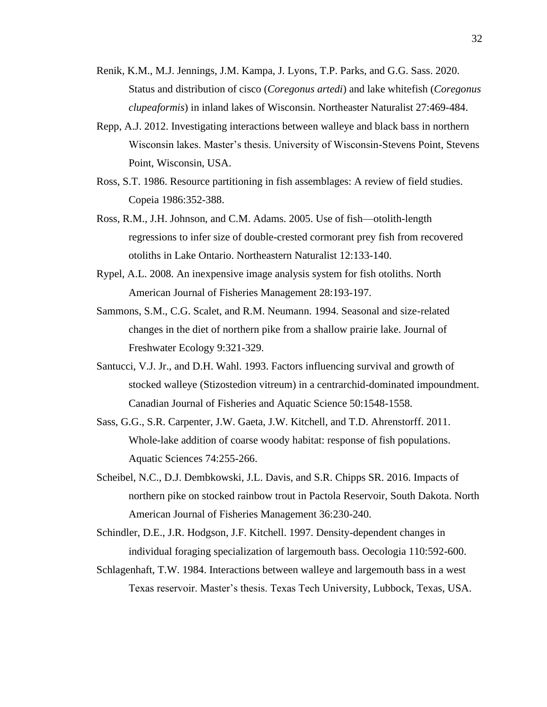- Renik, K.M., M.J. Jennings, J.M. Kampa, J. Lyons, T.P. Parks, and G.G. Sass. 2020. Status and distribution of cisco (*Coregonus artedi*) and lake whitefish (*Coregonus clupeaformis*) in inland lakes of Wisconsin. Northeaster Naturalist 27:469-484.
- Repp, A.J. 2012. Investigating interactions between walleye and black bass in northern Wisconsin lakes. Master's thesis. University of Wisconsin-Stevens Point, Stevens Point, Wisconsin, USA.
- Ross, S.T. 1986. Resource partitioning in fish assemblages: A review of field studies. Copeia 1986:352-388.
- Ross, R.M., J.H. Johnson, and C.M. Adams. 2005. Use of fish—otolith-length regressions to infer size of double-crested cormorant prey fish from recovered otoliths in Lake Ontario. Northeastern Naturalist 12:133-140.
- Rypel, A.L. 2008. An inexpensive image analysis system for fish otoliths. North American Journal of Fisheries Management 28:193-197.
- Sammons, S.M., C.G. Scalet, and R.M. Neumann. 1994. Seasonal and size-related changes in the diet of northern pike from a shallow prairie lake. Journal of Freshwater Ecology 9:321-329.
- Santucci, V.J. Jr., and D.H. Wahl. 1993. Factors influencing survival and growth of stocked walleye (Stizostedion vitreum) in a centrarchid-dominated impoundment. Canadian Journal of Fisheries and Aquatic Science 50:1548-1558.
- Sass, G.G., S.R. Carpenter, J.W. Gaeta, J.W. Kitchell, and T.D. Ahrenstorff. 2011. Whole-lake addition of coarse woody habitat: response of fish populations. Aquatic Sciences 74:255-266.
- Scheibel, N.C., D.J. Dembkowski, J.L. Davis, and S.R. Chipps SR. 2016. Impacts of northern pike on stocked rainbow trout in Pactola Reservoir, South Dakota. North American Journal of Fisheries Management 36:230-240.
- Schindler, D.E., J.R. Hodgson, J.F. Kitchell. 1997. Density-dependent changes in individual foraging specialization of largemouth bass. Oecologia 110:592-600.
- Schlagenhaft, T.W. 1984. Interactions between walleye and largemouth bass in a west Texas reservoir. Master's thesis. Texas Tech University, Lubbock, Texas, USA.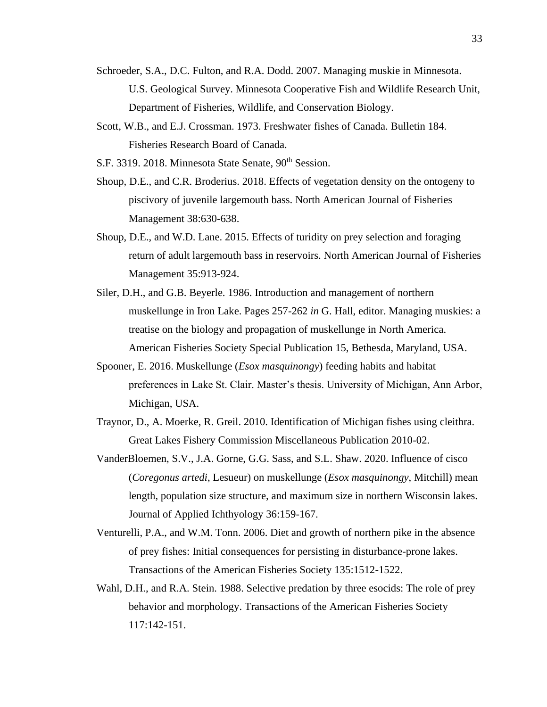- Schroeder, S.A., D.C. Fulton, and R.A. Dodd. 2007. Managing muskie in Minnesota. U.S. Geological Survey. Minnesota Cooperative Fish and Wildlife Research Unit, Department of Fisheries, Wildlife, and Conservation Biology.
- Scott, W.B., and E.J. Crossman. 1973. Freshwater fishes of Canada. Bulletin 184. Fisheries Research Board of Canada.
- S.F. 3319. 2018. Minnesota State Senate, 90<sup>th</sup> Session.
- Shoup, D.E., and C.R. Broderius. 2018. Effects of vegetation density on the ontogeny to piscivory of juvenile largemouth bass. North American Journal of Fisheries Management 38:630-638.
- Shoup, D.E., and W.D. Lane. 2015. Effects of turidity on prey selection and foraging return of adult largemouth bass in reservoirs. North American Journal of Fisheries Management 35:913-924.
- Siler, D.H., and G.B. Beyerle. 1986. Introduction and management of northern muskellunge in Iron Lake. Pages 257-262 *in* G. Hall, editor. Managing muskies: a treatise on the biology and propagation of muskellunge in North America. American Fisheries Society Special Publication 15, Bethesda, Maryland, USA.
- Spooner, E. 2016. Muskellunge (*Esox masquinongy*) feeding habits and habitat preferences in Lake St. Clair. Master's thesis. University of Michigan, Ann Arbor, Michigan, USA.
- Traynor, D., A. Moerke, R. Greil. 2010. Identification of Michigan fishes using cleithra. Great Lakes Fishery Commission Miscellaneous Publication 2010-02.
- VanderBloemen, S.V., J.A. Gorne, G.G. Sass, and S.L. Shaw. 2020. Influence of cisco (*Coregonus artedi*, Lesueur) on muskellunge (*Esox masquinongy*, Mitchill) mean length, population size structure, and maximum size in northern Wisconsin lakes. Journal of Applied Ichthyology 36:159-167.
- Venturelli, P.A., and W.M. Tonn. 2006. Diet and growth of northern pike in the absence of prey fishes: Initial consequences for persisting in disturbance-prone lakes. Transactions of the American Fisheries Society 135:1512-1522.
- Wahl, D.H., and R.A. Stein. 1988. Selective predation by three esocids: The role of prey behavior and morphology. Transactions of the American Fisheries Society 117:142-151.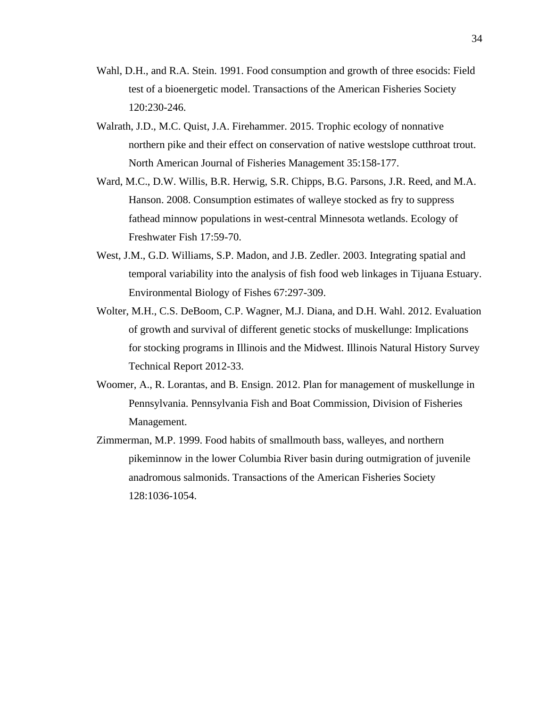- Wahl, D.H., and R.A. Stein. 1991. Food consumption and growth of three esocids: Field test of a bioenergetic model. Transactions of the American Fisheries Society 120:230-246.
- Walrath, J.D., M.C. Quist, J.A. Firehammer. 2015. Trophic ecology of nonnative northern pike and their effect on conservation of native westslope cutthroat trout. North American Journal of Fisheries Management 35:158-177.
- Ward, M.C., D.W. Willis, B.R. Herwig, S.R. Chipps, B.G. Parsons, J.R. Reed, and M.A. Hanson. 2008. Consumption estimates of walleye stocked as fry to suppress fathead minnow populations in west-central Minnesota wetlands. Ecology of Freshwater Fish 17:59-70.
- West, J.M., G.D. Williams, S.P. Madon, and J.B. Zedler. 2003. Integrating spatial and temporal variability into the analysis of fish food web linkages in Tijuana Estuary. Environmental Biology of Fishes 67:297-309.
- Wolter, M.H., C.S. DeBoom, C.P. Wagner, M.J. Diana, and D.H. Wahl. 2012. Evaluation of growth and survival of different genetic stocks of muskellunge: Implications for stocking programs in Illinois and the Midwest. Illinois Natural History Survey Technical Report 2012-33.
- Woomer, A., R. Lorantas, and B. Ensign. 2012. Plan for management of muskellunge in Pennsylvania. Pennsylvania Fish and Boat Commission, Division of Fisheries Management.
- Zimmerman, M.P. 1999. Food habits of smallmouth bass, walleyes, and northern pikeminnow in the lower Columbia River basin during outmigration of juvenile anadromous salmonids. Transactions of the American Fisheries Society 128:1036-1054.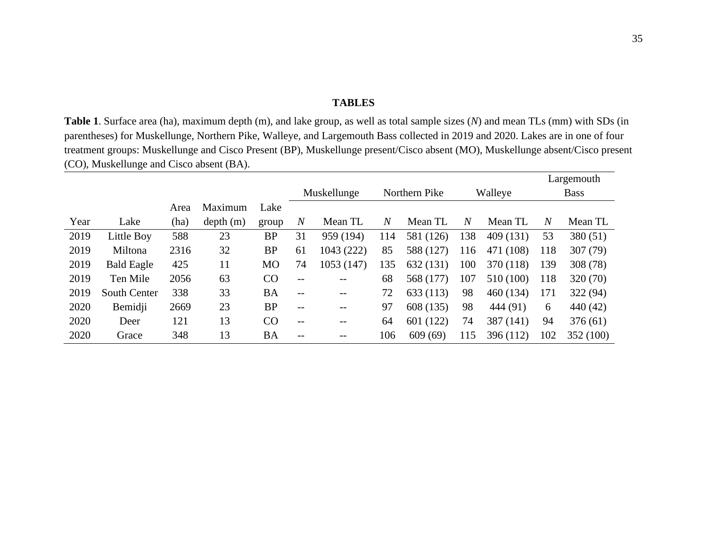## **TABLES**

**Table 1**. Surface area (ha), maximum depth (m), and lake group, as well as total sample sizes (*N*) and mean TLs (mm) with SDs (in parentheses) for Muskellunge, Northern Pike, Walleye, and Largemouth Bass collected in 2019 and 2020. Lakes are in one of four treatment groups: Muskellunge and Cisco Present (BP), Muskellunge present/Cisco absent (MO), Muskellunge absent/Cisco present (CO), Muskellunge and Cisco absent (BA).

|      |                     |      |          |           |                   |                   |                |               |                |           |                | Largemouth  |
|------|---------------------|------|----------|-----------|-------------------|-------------------|----------------|---------------|----------------|-----------|----------------|-------------|
|      |                     |      |          |           |                   | Muskellunge       |                | Northern Pike |                | Walleye   |                | <b>Bass</b> |
|      |                     | Area | Maximum  | Lake      |                   |                   |                |               |                |           |                |             |
| Year | Lake                | (ha) | depth(m) | group     | $\overline{N}$    | Mean TL           | $\overline{N}$ | Mean TL       | $\overline{N}$ | Mean TL   | $\overline{N}$ | Mean TL     |
| 2019 | Little Boy          | 588  | 23       | <b>BP</b> | 31                | 959 (194)         | 114            | 581 (126)     | 138            | 409 (131) | 53             | 380 (51)    |
| 2019 | Miltona             | 2316 | 32       | <b>BP</b> | 61                | 1043 (222)        | 85             | 588 (127)     | 116            | 471 (108) | 118            | 307 (79)    |
| 2019 | <b>Bald Eagle</b>   | 425  | 11       | <b>MO</b> | 74                | 1053 (147)        | 135            | 632 (131)     | 100            | 370 (118) | 139            | 308 (78)    |
| 2019 | Ten Mile            | 2056 | 63       | CO        | $-\,-$            | $- -$             | 68             | 568 (177)     | 107            | 510 (100) | 118            | 320(70)     |
| 2019 | <b>South Center</b> | 338  | 33       | <b>BA</b> | $\qquad \qquad -$ | $\qquad \qquad -$ | 72             | 633 (113)     | 98             | 460 (134) | 171            | 322 (94)    |
| 2020 | Bemidji             | 2669 | 23       | <b>BP</b> | --                | $- -$             | 97             | 608 (135)     | 98             | 444 (91)  | 6              | 440(42)     |
| 2020 | Deer                | 121  | 13       | CO        | $- -$             | --                | 64             | 601 (122)     | 74             | 387 (141) | 94             | 376(61)     |
| 2020 | Grace               | 348  | 13       | <b>BA</b> | --                | --                | 106            | 609(69)       | 115            | 396 (112) | 102            | 352 (100)   |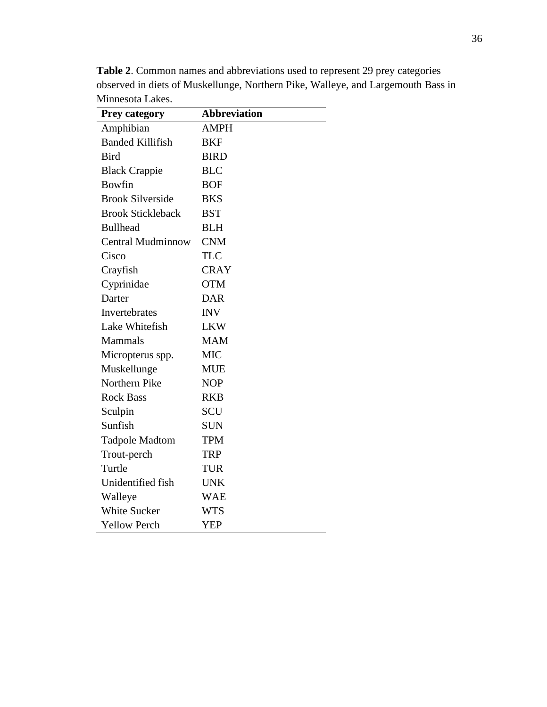| <b>Prey category</b>     | <b>Abbreviation</b> |
|--------------------------|---------------------|
| Amphibian                | <b>AMPH</b>         |
| <b>Banded Killifish</b>  | <b>BKF</b>          |
| <b>Bird</b>              | <b>BIRD</b>         |
| <b>Black Crappie</b>     | <b>BLC</b>          |
| <b>Bowfin</b>            | <b>BOF</b>          |
| <b>Brook Silverside</b>  | <b>BKS</b>          |
| <b>Brook Stickleback</b> | <b>BST</b>          |
| <b>Bullhead</b>          | <b>BLH</b>          |
| <b>Central Mudminnow</b> | <b>CNM</b>          |
| Cisco                    | <b>TLC</b>          |
| Crayfish                 | <b>CRAY</b>         |
| Cyprinidae               | <b>OTM</b>          |
| Darter                   | <b>DAR</b>          |
| Invertebrates            | <b>INV</b>          |
| Lake Whitefish           | <b>LKW</b>          |
| Mammals                  | <b>MAM</b>          |
| Micropterus spp.         | <b>MIC</b>          |
| Muskellunge              | <b>MUE</b>          |
| Northern Pike            | <b>NOP</b>          |
| <b>Rock Bass</b>         | <b>RKB</b>          |
| Sculpin                  | <b>SCU</b>          |
| Sunfish                  | <b>SUN</b>          |
| <b>Tadpole Madtom</b>    | <b>TPM</b>          |
| Trout-perch              | <b>TRP</b>          |
| Turtle                   | <b>TUR</b>          |
| Unidentified fish        | <b>UNK</b>          |
| Walleye                  | WAE                 |
| <b>White Sucker</b>      | <b>WTS</b>          |
| <b>Yellow Perch</b>      | <b>YEP</b>          |

**Table 2**. Common names and abbreviations used to represent 29 prey categories observed in diets of Muskellunge, Northern Pike, Walleye, and Largemouth Bass in Minnesota Lakes.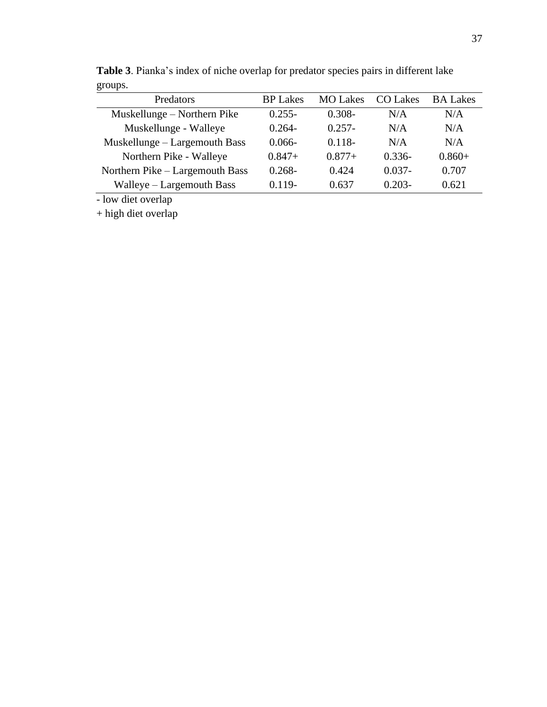| <b>BP</b> Lakes | <b>MO</b> Lakes | CO Lakes  | <b>BA Lakes</b> |
|-----------------|-----------------|-----------|-----------------|
| $0.255 -$       | $0.308 -$       | N/A       | N/A             |
| $0.264 -$       | $0.257 -$       | N/A       | N/A             |
| $0.066 -$       | $0.118 -$       | N/A       | N/A             |
| $0.847+$        | $0.877+$        | $0.336-$  | $0.860+$        |
| $0.268 -$       | 0.424           | $0.037 -$ | 0.707           |
| $0.119 -$       | 0.637           | $0.203 -$ | 0.621           |
|                 |                 |           |                 |

**Table 3**. Pianka's index of niche overlap for predator species pairs in different lake groups.

- low diet overlap

+ high diet overlap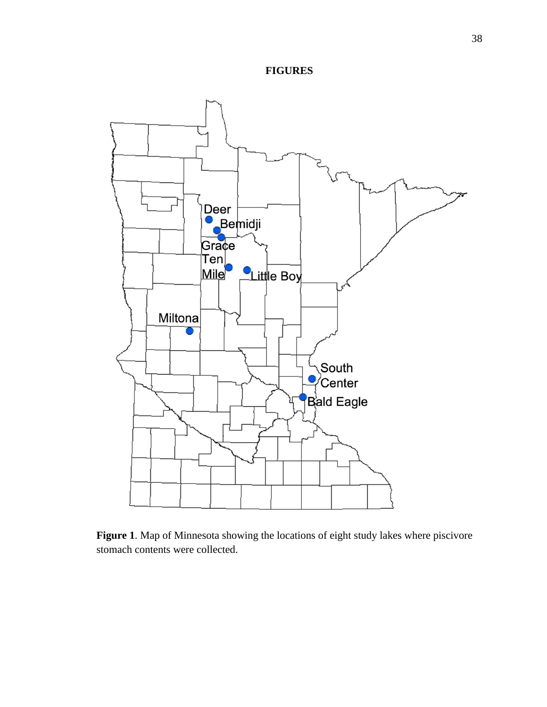



**Figure 1**. Map of Minnesota showing the locations of eight study lakes where piscivore stomach contents were collected.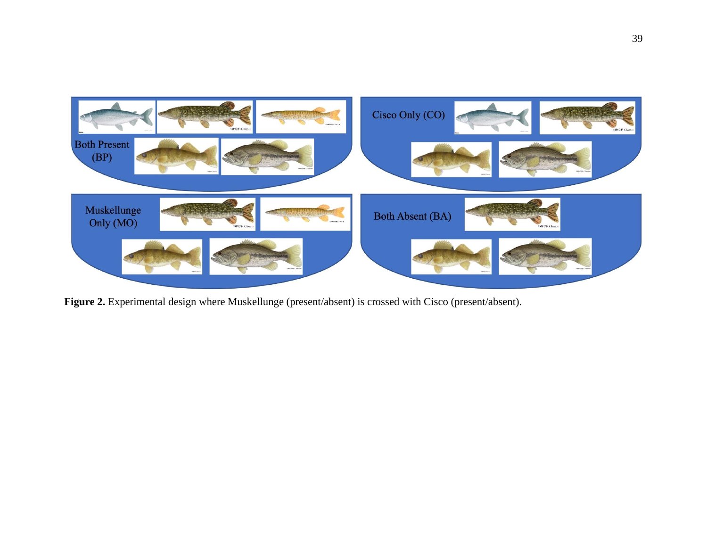

**Figure 2.** Experimental design where Muskellunge (present/absent) is crossed with Cisco (present/absent).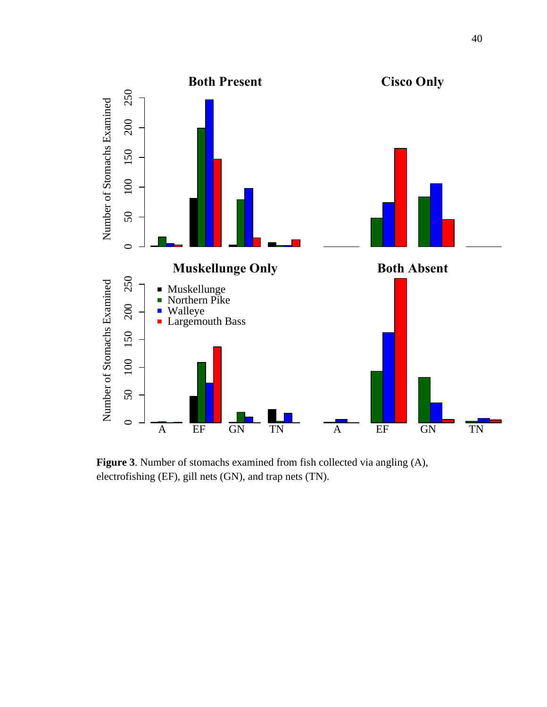

**Figure 3**. Number of stomachs examined from fish collected via angling (A), electrofishing (EF), gill nets (GN), and trap nets (TN).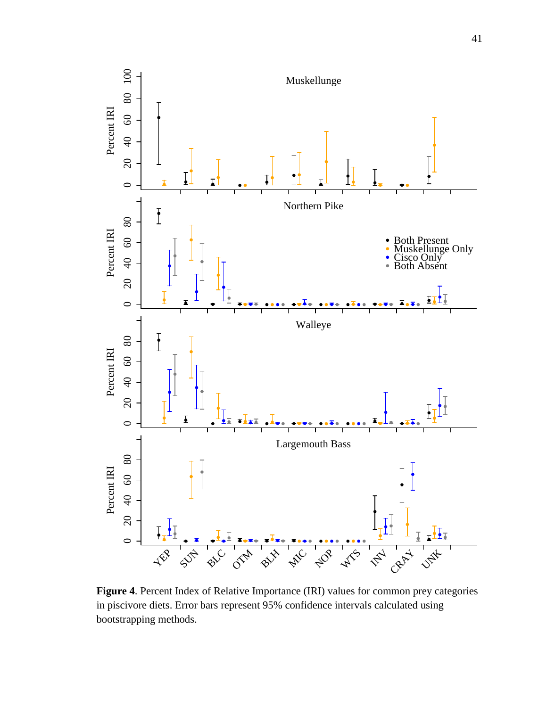

**Figure 4**. Percent Index of Relative Importance (IRI) values for common prey categories in piscivore diets. Error bars represent 95% confidence intervals calculated using bootstrapping methods.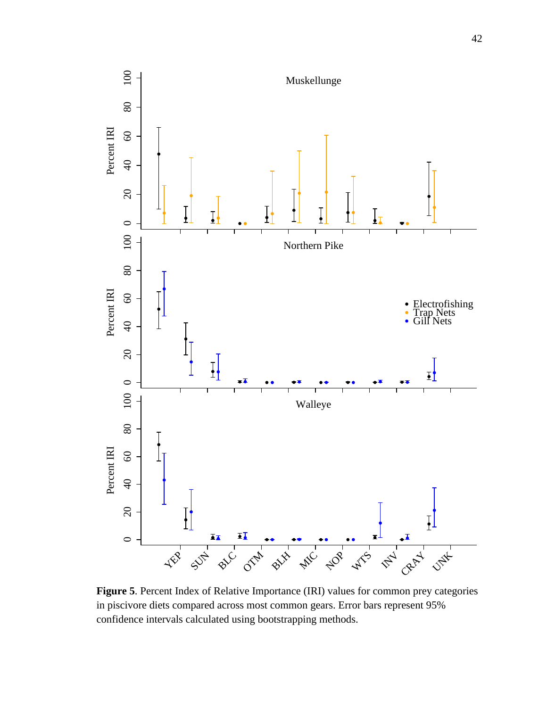

**Figure 5**. Percent Index of Relative Importance (IRI) values for common prey categories in piscivore diets compared across most common gears. Error bars represent 95% confidence intervals calculated using bootstrapping methods.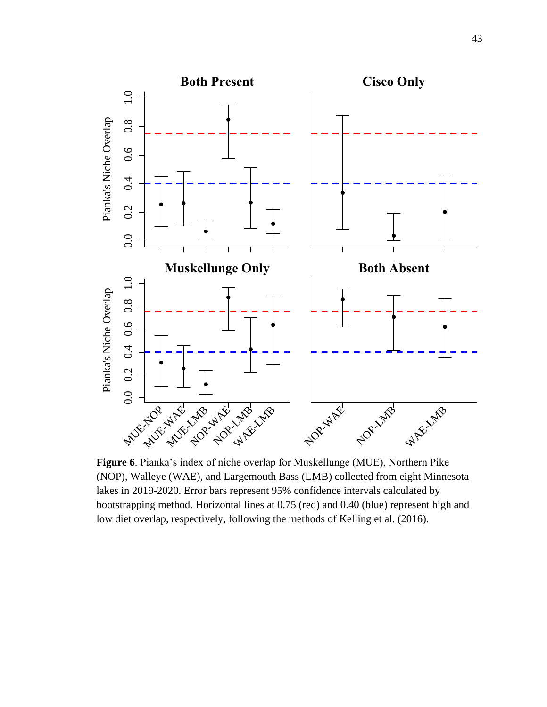

**Figure 6**. Pianka's index of niche overlap for Muskellunge (MUE), Northern Pike (NOP), Walleye (WAE), and Largemouth Bass (LMB) collected from eight Minnesota lakes in 2019-2020. Error bars represent 95% confidence intervals calculated by bootstrapping method. Horizontal lines at 0.75 (red) and 0.40 (blue) represent high and low diet overlap, respectively, following the methods of Kelling et al. (2016).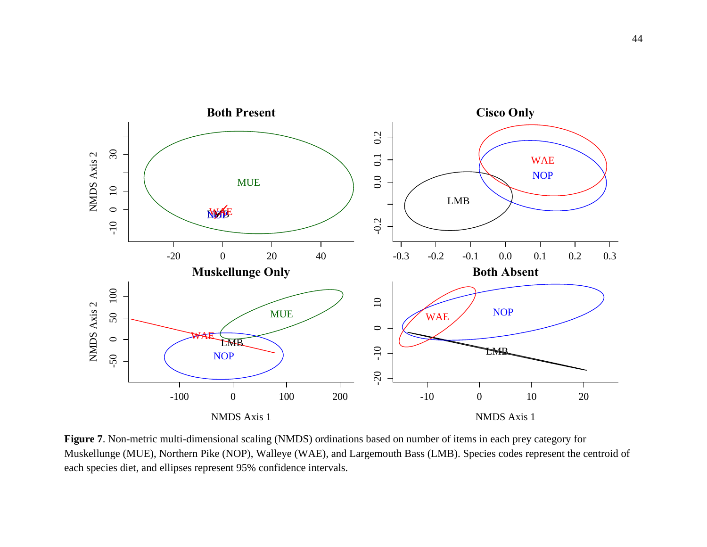

**Figure 7**. Non-metric multi-dimensional scaling (NMDS) ordinations based on number of items in each prey category for Muskellunge (MUE), Northern Pike (NOP), Walleye (WAE), and Largemouth Bass (LMB). Species codes represent the centroid of each species diet, and ellipses represent 95% confidence intervals.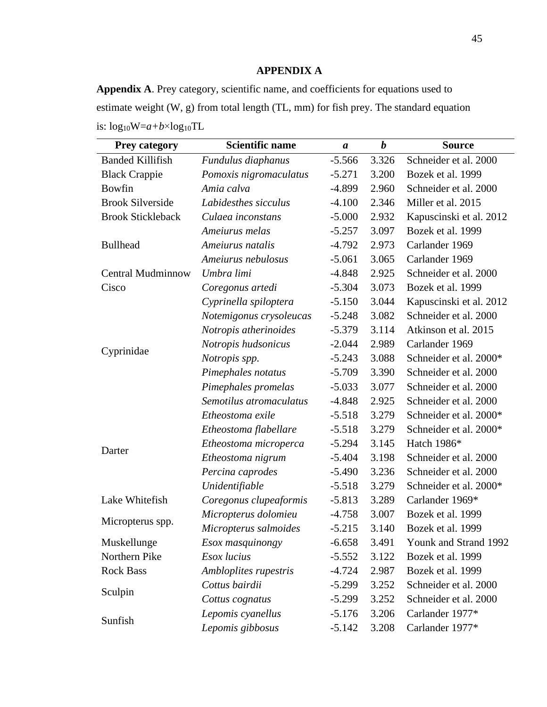# **APPENDIX A**

**Appendix A**. Prey category, scientific name, and coefficients for equations used to estimate weight (W, g) from total length (TL, mm) for fish prey. The standard equation is: log10W=*a+b*×log10TL

| <b>Prey category</b>     | <b>Scientific name</b><br>$\boldsymbol{a}$ |          | $\boldsymbol{b}$ | <b>Source</b>           |  |  |
|--------------------------|--------------------------------------------|----------|------------------|-------------------------|--|--|
| <b>Banded Killifish</b>  | Fundulus diaphanus                         | $-5.566$ | 3.326            | Schneider et al. 2000   |  |  |
| <b>Black Crappie</b>     | Pomoxis nigromaculatus                     | $-5.271$ | 3.200            | Bozek et al. 1999       |  |  |
| <b>Bowfin</b>            | Amia calva                                 | $-4.899$ | 2.960            | Schneider et al. 2000   |  |  |
| <b>Brook Silverside</b>  | Labidesthes sicculus                       | $-4.100$ | 2.346            | Miller et al. 2015      |  |  |
| <b>Brook Stickleback</b> | Culaea inconstans                          | $-5.000$ | 2.932            | Kapuscinski et al. 2012 |  |  |
|                          | Ameiurus melas                             | $-5.257$ | 3.097            | Bozek et al. 1999       |  |  |
| <b>Bullhead</b>          | Ameiurus natalis                           | $-4.792$ | 2.973            | Carlander 1969          |  |  |
|                          | Ameiurus nebulosus                         | $-5.061$ | 3.065            | Carlander 1969          |  |  |
| <b>Central Mudminnow</b> | Umbra limi                                 | $-4.848$ | 2.925            | Schneider et al. 2000   |  |  |
| Cisco                    | Coregonus artedi                           | $-5.304$ | 3.073            | Bozek et al. 1999       |  |  |
|                          | Cyprinella spiloptera                      | $-5.150$ | 3.044            | Kapuscinski et al. 2012 |  |  |
|                          | Notemigonus crysoleucas                    | $-5.248$ | 3.082            | Schneider et al. 2000   |  |  |
|                          | Notropis atherinoides                      | $-5.379$ | 3.114            | Atkinson et al. 2015    |  |  |
|                          | Notropis hudsonicus                        | $-2.044$ | 2.989            | Carlander 1969          |  |  |
| Cyprinidae               | Notropis spp.                              | $-5.243$ | 3.088            | Schneider et al. 2000*  |  |  |
|                          | Pimephales notatus                         | $-5.709$ | 3.390            | Schneider et al. 2000   |  |  |
|                          | Pimephales promelas                        | $-5.033$ | 3.077            | Schneider et al. 2000   |  |  |
|                          | Semotilus atromaculatus                    | $-4.848$ | 2.925            | Schneider et al. 2000   |  |  |
|                          | Etheostoma exile                           | $-5.518$ | 3.279            | Schneider et al. 2000*  |  |  |
|                          | Etheostoma flabellare                      | $-5.518$ | 3.279            | Schneider et al. 2000*  |  |  |
|                          | Etheostoma microperca                      | $-5.294$ | 3.145            | Hatch 1986*             |  |  |
| Darter                   | Etheostoma nigrum                          | $-5.404$ | 3.198            | Schneider et al. 2000   |  |  |
|                          | Percina caprodes                           | $-5.490$ | 3.236            | Schneider et al. 2000   |  |  |
|                          | Unidentifiable                             | $-5.518$ | 3.279            | Schneider et al. 2000*  |  |  |
| Lake Whitefish           | Coregonus clupeaformis                     | $-5.813$ | 3.289            | Carlander 1969*         |  |  |
|                          | Micropterus dolomieu                       | $-4.758$ | 3.007            | Bozek et al. 1999       |  |  |
| Micropterus spp.         | Micropterus salmoides                      | $-5.215$ | 3.140            | Bozek et al. 1999       |  |  |
| Muskellunge              | Esox masquinongy                           | $-6.658$ | 3.491            | Younk and Strand 1992   |  |  |
| Northern Pike            | Esox lucius                                | $-5.552$ | 3.122            | Bozek et al. 1999       |  |  |
| <b>Rock Bass</b>         | Ambloplites rupestris                      | $-4.724$ | 2.987            | Bozek et al. 1999       |  |  |
|                          | Cottus bairdii                             | $-5.299$ | 3.252            | Schneider et al. 2000   |  |  |
| Sculpin                  | Cottus cognatus                            | $-5.299$ | 3.252            | Schneider et al. 2000   |  |  |
|                          | Lepomis cyanellus                          | $-5.176$ | 3.206            | Carlander 1977*         |  |  |
| Sunfish                  | Lepomis gibbosus                           | $-5.142$ | 3.208            | Carlander 1977*         |  |  |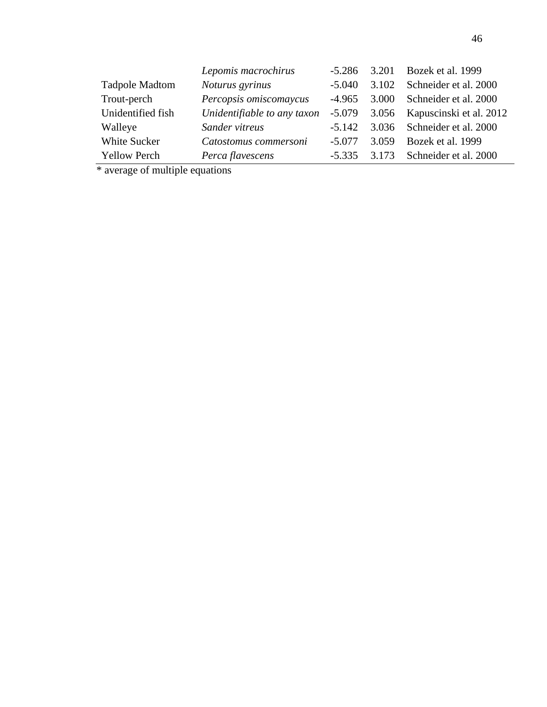|                       | Lepomis macrochirus         | $-5.286$ | 3.201 | Bozek et al. 1999             |
|-----------------------|-----------------------------|----------|-------|-------------------------------|
| <b>Tadpole Madtom</b> | Noturus gyrinus             | $-5.040$ | 3.102 | Schneider et al. 2000         |
| Trout-perch           | Percopsis omiscomaycus      | $-4.965$ | 3.000 | Schneider et al. 2000         |
| Unidentified fish     | Unidentifiable to any taxon | $-5.079$ |       | 3.056 Kapuscinski et al. 2012 |
| Walleye               | Sander vitreus              | $-5.142$ |       | 3.036 Schneider et al. 2000   |
| White Sucker          | Catostomus commersoni       | $-5.077$ | 3.059 | Bozek et al. 1999             |
| <b>Yellow Perch</b>   | Perca flavescens            | $-5.335$ |       | 3.173 Schneider et al. 2000   |

\* average of multiple equations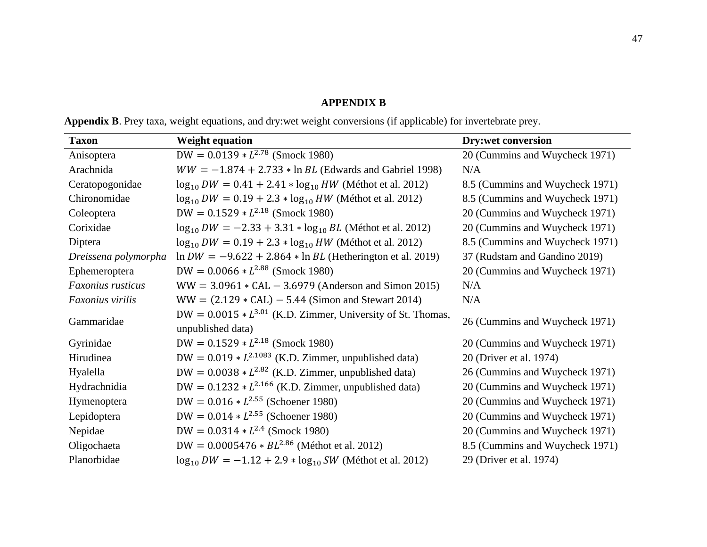## **APPENDIX B**

|  |  |  |  |  | <b>Appendix B</b> . Prey taxa, weight equations, and dry:wet weight conversions (if applicable) for invertebrate prey. |  |
|--|--|--|--|--|------------------------------------------------------------------------------------------------------------------------|--|
|  |  |  |  |  |                                                                                                                        |  |

| <b>Taxon</b>         | <b>Weight equation</b>                                                                | <b>Dry:wet conversion</b>       |
|----------------------|---------------------------------------------------------------------------------------|---------------------------------|
| Anisoptera           | DW = $0.0139 * L^{2.78}$ (Smock 1980)                                                 | 20 (Cummins and Wuycheck 1971)  |
| Arachnida            | $WW = -1.874 + 2.733 * \ln BL$ (Edwards and Gabriel 1998)                             | N/A                             |
| Ceratopogonidae      | $\log_{10} DW = 0.41 + 2.41 * \log_{10} HW$ (Méthot et al. 2012)                      | 8.5 (Cummins and Wuycheck 1971) |
| Chironomidae         | $\log_{10} DW = 0.19 + 2.3 * \log_{10} HW$ (Méthot et al. 2012)                       | 8.5 (Cummins and Wuycheck 1971) |
| Coleoptera           | DW = $0.1529 * L^{2.18}$ (Smock 1980)                                                 | 20 (Cummins and Wuycheck 1971)  |
| Corixidae            | $\log_{10} DW = -2.33 + 3.31 * \log_{10} BL$ (Méthot et al. 2012)                     | 20 (Cummins and Wuycheck 1971)  |
| Diptera              | $\log_{10} DW = 0.19 + 2.3 * \log_{10} HW$ (Méthot et al. 2012)                       | 8.5 (Cummins and Wuycheck 1971) |
| Dreissena polymorpha | $\ln DW = -9.622 + 2.864 * \ln BL$ (Hetherington et al. 2019)                         | 37 (Rudstam and Gandino 2019)   |
| Ephemeroptera        | $DW = 0.0066 * L^{2.88}$ (Smock 1980)                                                 | 20 (Cummins and Wuycheck 1971)  |
| Faxonius rusticus    | $WW = 3.0961 * CAL - 3.6979$ (Anderson and Simon 2015)                                | N/A                             |
| Faxonius virilis     | $WW = (2.129 * CAL) - 5.44$ (Simon and Stewart 2014)                                  | N/A                             |
| Gammaridae           | DW = $0.0015 * L^{3.01}$ (K.D. Zimmer, University of St. Thomas,<br>unpublished data) | 26 (Cummins and Wuycheck 1971)  |
| Gyrinidae            | DW = $0.1529 * L^{2.18}$ (Smock 1980)                                                 | 20 (Cummins and Wuycheck 1971)  |
| Hirudinea            | DW = $0.019 * L^{2.1083}$ (K.D. Zimmer, unpublished data)                             | 20 (Driver et al. 1974)         |
| Hyalella             | DW = $0.0038 * L^{2.82}$ (K.D. Zimmer, unpublished data)                              | 26 (Cummins and Wuycheck 1971)  |
| Hydrachnidia         | DW = $0.1232 * L^{2.166}$ (K.D. Zimmer, unpublished data)                             | 20 (Cummins and Wuycheck 1971)  |
| Hymenoptera          | DW = $0.016 * L^{2.55}$ (Schoener 1980)                                               | 20 (Cummins and Wuycheck 1971)  |
| Lepidoptera          | DW = $0.014 * L^{2.55}$ (Schoener 1980)                                               | 20 (Cummins and Wuycheck 1971)  |
| Nepidae              | $DW = 0.0314 * L^{2.4}$ (Smock 1980)                                                  | 20 (Cummins and Wuycheck 1971)  |
| Oligochaeta          | DW = $0.0005476 * BL^{2.86}$ (Méthot et al. 2012)                                     | 8.5 (Cummins and Wuycheck 1971) |
| Planorbidae          | $\log_{10} DW = -1.12 + 2.9 * \log_{10} SW$ (Méthot et al. 2012)                      | 29 (Driver et al. 1974)         |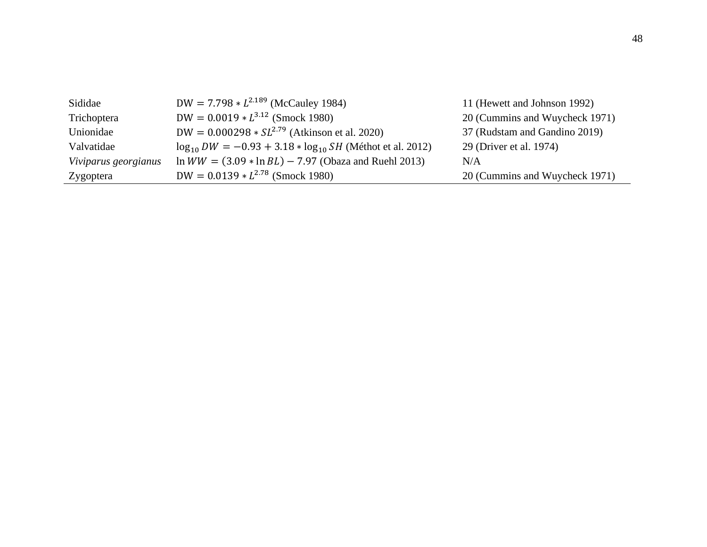| Sididae              | DW = $7.798 * L^{2.189}$ (McCauley 1984)                          | 11 (Hewett and Johnson 1992)   |
|----------------------|-------------------------------------------------------------------|--------------------------------|
| Trichoptera          | $DW = 0.0019 * L^{3.12}$ (Smock 1980)                             | 20 (Cummins and Wuycheck 1971) |
| Unionidae            | $DW = 0.000298 * SL^{2.79}$ (Atkinson et al. 2020)                | 37 (Rudstam and Gandino 2019)  |
| Valvatidae           | $\log_{10} DW = -0.93 + 3.18 * \log_{10} SH$ (Méthot et al. 2012) | 29 (Driver et al. 1974)        |
| Viviparus georgianus | $\ln WW = (3.09 * \ln BL) - 7.97$ (Obaza and Ruehl 2013)          | N/A                            |
| Zygoptera            | $DW = 0.0139 * L^{2.78}$ (Smock 1980)                             | 20 (Cummins and Wuycheck 1971) |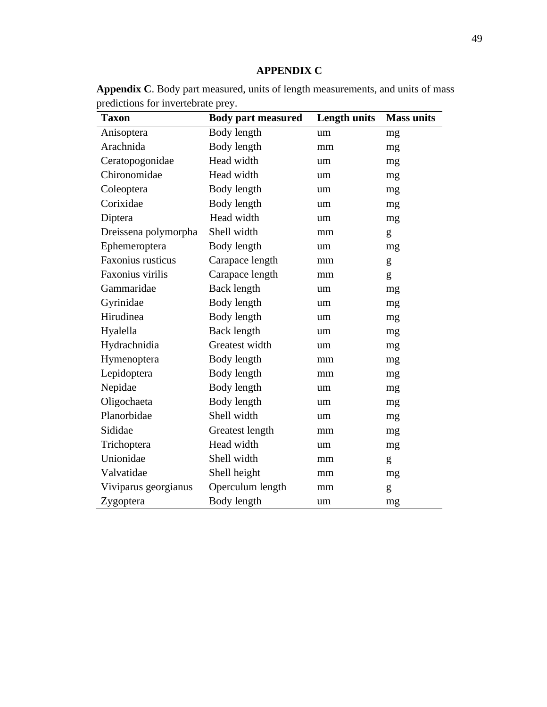**Appendix C**. Body part measured, units of length measurements, and units of mass predictions for invertebrate prey.  $\overline{\phantom{0}}$ 

| <b>Taxon</b>             | <b>Body part measured</b> | <b>Length units</b> | <b>Mass units</b> |
|--------------------------|---------------------------|---------------------|-------------------|
| Anisoptera               | Body length               | um                  | mg                |
| Arachnida                | Body length               | mm                  | mg                |
| Ceratopogonidae          | Head width                | um                  | mg                |
| Chironomidae             | Head width                | um                  | mg                |
| Coleoptera               | Body length               | um                  | mg                |
| Corixidae                | Body length               | um                  | mg                |
| Diptera                  | Head width                | um                  | mg                |
| Dreissena polymorpha     | Shell width               | mm                  | g                 |
| Ephemeroptera            | Body length               | um                  | mg                |
| <b>Faxonius rusticus</b> | Carapace length           | mm                  | g                 |
| Faxonius virilis         | Carapace length           | mm                  | g                 |
| Gammaridae               | Back length               | um                  | mg                |
| Gyrinidae                | Body length               | um                  | mg                |
| Hirudinea                | Body length               | um                  | mg                |
| Hyalella                 | Back length               | um                  | mg                |
| Hydrachnidia             | Greatest width            | um                  | mg                |
| Hymenoptera              | Body length               | mm                  | mg                |
| Lepidoptera              | Body length               | mm                  | mg                |
| Nepidae                  | Body length               | um                  | mg                |
| Oligochaeta              | Body length               | um                  | mg                |
| Planorbidae              | Shell width               | um                  | mg                |
| Sididae                  | Greatest length           | mm                  | mg                |
| Trichoptera              | Head width                | um                  | mg                |
| Unionidae                | Shell width               | mm                  | g                 |
| Valvatidae               | Shell height              | mm                  | mg                |
| Viviparus georgianus     | Operculum length          | mm                  | g                 |
| Zygoptera                | Body length               | um                  | mg                |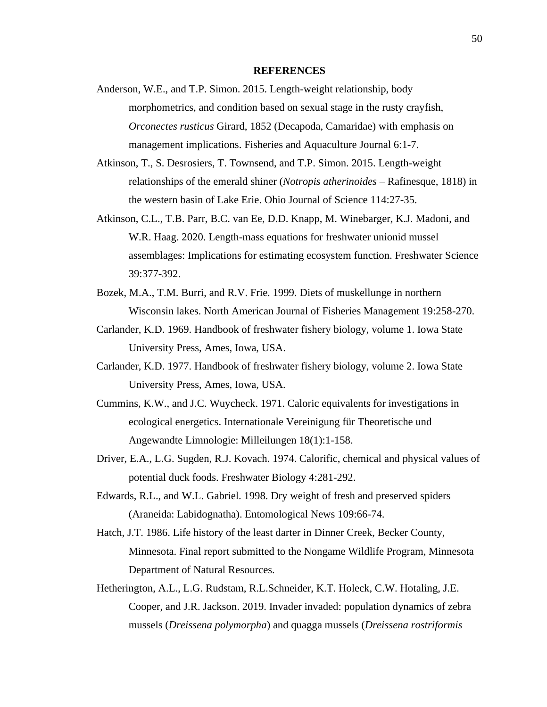#### **REFERENCES**

- Anderson, W.E., and T.P. Simon. 2015. Length-weight relationship, body morphometrics, and condition based on sexual stage in the rusty crayfish, *Orconectes rusticus* Girard, 1852 (Decapoda, Camaridae) with emphasis on management implications. Fisheries and Aquaculture Journal 6:1-7.
- Atkinson, T., S. Desrosiers, T. Townsend, and T.P. Simon. 2015. Length-weight relationships of the emerald shiner (*Notropis atherinoides* – Rafinesque, 1818) in the western basin of Lake Erie. Ohio Journal of Science 114:27-35.
- Atkinson, C.L., T.B. Parr, B.C. van Ee, D.D. Knapp, M. Winebarger, K.J. Madoni, and W.R. Haag. 2020. Length-mass equations for freshwater unionid mussel assemblages: Implications for estimating ecosystem function. Freshwater Science 39:377-392.
- Bozek, M.A., T.M. Burri, and R.V. Frie. 1999. Diets of muskellunge in northern Wisconsin lakes. North American Journal of Fisheries Management 19:258-270.
- Carlander, K.D. 1969. Handbook of freshwater fishery biology, volume 1. Iowa State University Press, Ames, Iowa, USA.
- Carlander, K.D. 1977. Handbook of freshwater fishery biology, volume 2. Iowa State University Press, Ames, Iowa, USA.
- Cummins, K.W., and J.C. Wuycheck. 1971. Caloric equivalents for investigations in ecological energetics. Internationale Vereinigung für Theoretische und Angewandte Limnologie: Milleilungen 18(1):1-158.
- Driver, E.A., L.G. Sugden, R.J. Kovach. 1974. Calorific, chemical and physical values of potential duck foods. Freshwater Biology 4:281-292.
- Edwards, R.L., and W.L. Gabriel. 1998. Dry weight of fresh and preserved spiders (Araneida: Labidognatha). Entomological News 109:66-74.
- Hatch, J.T. 1986. Life history of the least darter in Dinner Creek, Becker County, Minnesota. Final report submitted to the Nongame Wildlife Program, Minnesota Department of Natural Resources.
- Hetherington, A.L., L.G. Rudstam, R.L.Schneider, K.T. Holeck, C.W. Hotaling, J.E. Cooper, and J.R. Jackson. 2019. Invader invaded: population dynamics of zebra mussels (*Dreissena polymorpha*) and quagga mussels (*Dreissena rostriformis*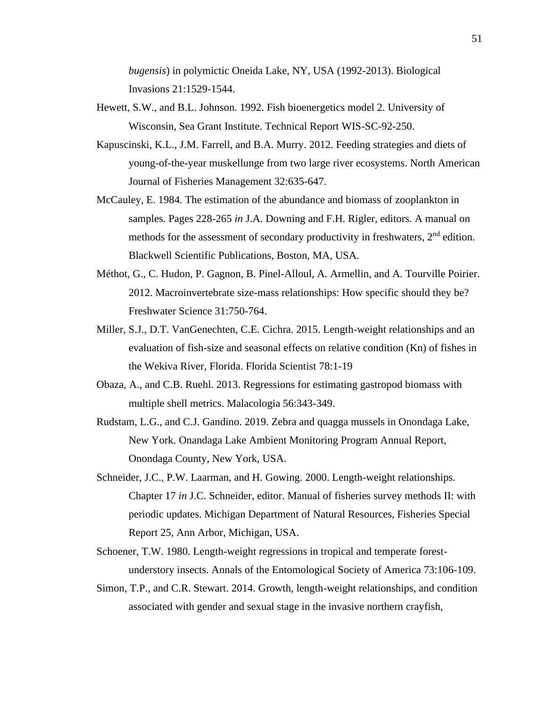*bugensis*) in polymictic Oneida Lake, NY, USA (1992-2013). Biological Invasions 21:1529-1544.

- Hewett, S.W., and B.L. Johnson. 1992. Fish bioenergetics model 2. University of Wisconsin, Sea Grant Institute. Technical Report WIS-SC-92-250.
- Kapuscinski, K.L., J.M. Farrell, and B.A. Murry. 2012. Feeding strategies and diets of young-of-the-year muskellunge from two large river ecosystems. North American Journal of Fisheries Management 32:635-647.
- McCauley, E. 1984. The estimation of the abundance and biomass of zooplankton in samples. Pages 228-265 *in* J.A. Downing and F.H. Rigler, editors. A manual on methods for the assessment of secondary productivity in freshwaters, 2<sup>nd</sup> edition. Blackwell Scientific Publications, Boston, MA, USA.
- Méthot, G., C. Hudon, P. Gagnon, B. Pinel-Alloul, A. Armellin, and A. Tourville Poirier. 2012. Macroinvertebrate size-mass relationships: How specific should they be? Freshwater Science 31:750-764.
- Miller, S.J., D.T. VanGenechten, C.E. Cichra. 2015. Length-weight relationships and an evaluation of fish-size and seasonal effects on relative condition (Kn) of fishes in the Wekiva River, Florida. Florida Scientist 78:1-19
- Obaza, A., and C.B. Ruehl. 2013. Regressions for estimating gastropod biomass with multiple shell metrics. Malacologia 56:343-349.
- Rudstam, L.G., and C.J. Gandino. 2019. Zebra and quagga mussels in Onondaga Lake, New York. Onandaga Lake Ambient Monitoring Program Annual Report, Onondaga County, New York, USA.
- Schneider, J.C., P.W. Laarman, and H. Gowing. 2000. Length-weight relationships. Chapter 17 *in* J.C. Schneider, editor. Manual of fisheries survey methods II: with periodic updates. Michigan Department of Natural Resources, Fisheries Special Report 25, Ann Arbor, Michigan, USA.
- Schoener, T.W. 1980. Length-weight regressions in tropical and temperate forestunderstory insects. Annals of the Entomological Society of America 73:106-109.
- Simon, T.P., and C.R. Stewart. 2014. Growth, length-weight relationships, and condition associated with gender and sexual stage in the invasive northern crayfish,